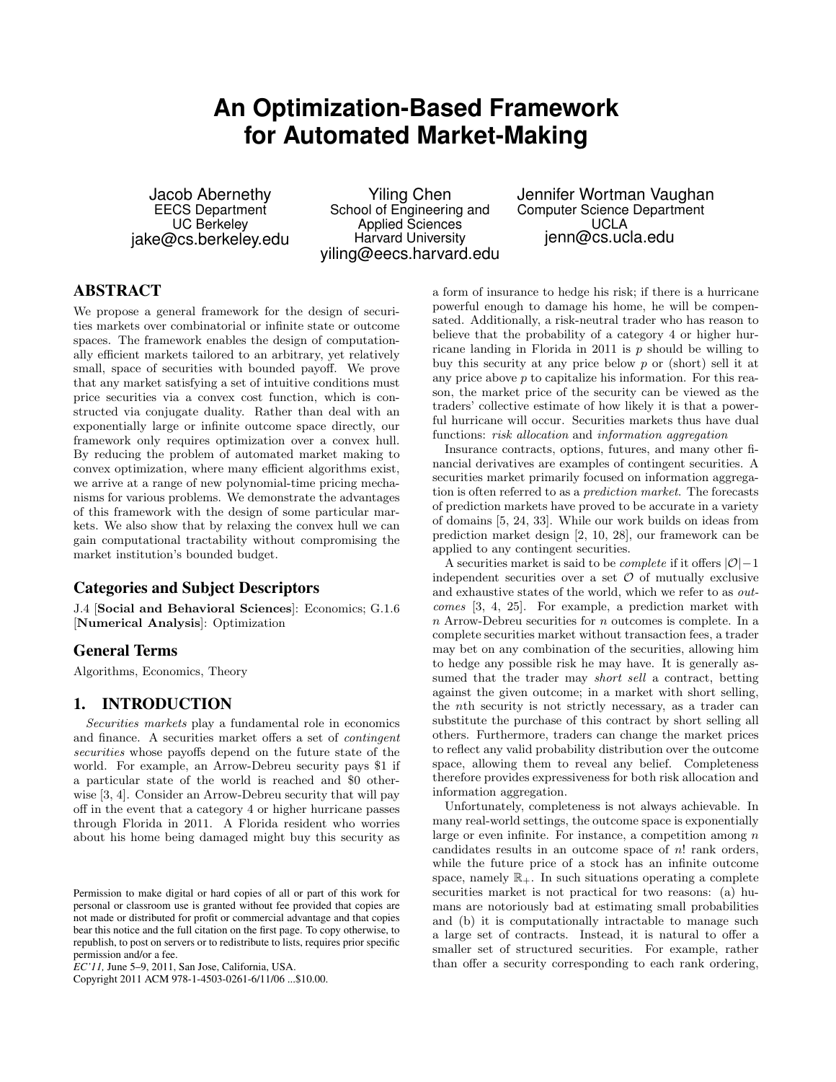# **An Optimization-Based Framework for Automated Market-Making**

Jacob Abernethy EECS Department UC Berkeley jake@cs.berkeley.edu

Yiling Chen School of Engineering and Applied Sciences Harvard University yiling@eecs.harvard.edu Jennifer Wortman Vaughan Computer Science Department UCLA jenn@cs.ucla.edu

# ABSTRACT

We propose a general framework for the design of securities markets over combinatorial or infinite state or outcome spaces. The framework enables the design of computationally efficient markets tailored to an arbitrary, yet relatively small, space of securities with bounded payoff. We prove that any market satisfying a set of intuitive conditions must price securities via a convex cost function, which is constructed via conjugate duality. Rather than deal with an exponentially large or infinite outcome space directly, our framework only requires optimization over a convex hull. By reducing the problem of automated market making to convex optimization, where many efficient algorithms exist, we arrive at a range of new polynomial-time pricing mechanisms for various problems. We demonstrate the advantages of this framework with the design of some particular markets. We also show that by relaxing the convex hull we can gain computational tractability without compromising the market institution's bounded budget.

## Categories and Subject Descriptors

J.4 [Social and Behavioral Sciences]: Economics; G.1.6 [Numerical Analysis]: Optimization

# General Terms

Algorithms, Economics, Theory

# 1. INTRODUCTION

Securities markets play a fundamental role in economics and finance. A securities market offers a set of contingent securities whose payoffs depend on the future state of the world. For example, an Arrow-Debreu security pays \$1 if a particular state of the world is reached and \$0 otherwise [3, 4]. Consider an Arrow-Debreu security that will pay off in the event that a category 4 or higher hurricane passes through Florida in 2011. A Florida resident who worries about his home being damaged might buy this security as

Copyright 2011 ACM 978-1-4503-0261-6/11/06 ...\$10.00.

a form of insurance to hedge his risk; if there is a hurricane powerful enough to damage his home, he will be compensated. Additionally, a risk-neutral trader who has reason to believe that the probability of a category 4 or higher hurricane landing in Florida in 2011 is  $p$  should be willing to buy this security at any price below  $p$  or (short) sell it at any price above  $p$  to capitalize his information. For this reason, the market price of the security can be viewed as the traders' collective estimate of how likely it is that a powerful hurricane will occur. Securities markets thus have dual functions: risk allocation and information aggregation

Insurance contracts, options, futures, and many other financial derivatives are examples of contingent securities. A securities market primarily focused on information aggregation is often referred to as a prediction market. The forecasts of prediction markets have proved to be accurate in a variety of domains [5, 24, 33]. While our work builds on ideas from prediction market design [2, 10, 28], our framework can be applied to any contingent securities.

A securities market is said to be *complete* if it offers  $|O|-1$ independent securities over a set  $\mathcal O$  of mutually exclusive and exhaustive states of the world, which we refer to as outcomes [3, 4, 25]. For example, a prediction market with n Arrow-Debreu securities for n outcomes is complete. In a complete securities market without transaction fees, a trader may bet on any combination of the securities, allowing him to hedge any possible risk he may have. It is generally assumed that the trader may *short sell* a contract, betting against the given outcome; in a market with short selling, the nth security is not strictly necessary, as a trader can substitute the purchase of this contract by short selling all others. Furthermore, traders can change the market prices to reflect any valid probability distribution over the outcome space, allowing them to reveal any belief. Completeness therefore provides expressiveness for both risk allocation and information aggregation.

Unfortunately, completeness is not always achievable. In many real-world settings, the outcome space is exponentially large or even infinite. For instance, a competition among  $n$ candidates results in an outcome space of  $n!$  rank orders, while the future price of a stock has an infinite outcome space, namely  $\mathbb{R}_+$ . In such situations operating a complete securities market is not practical for two reasons: (a) humans are notoriously bad at estimating small probabilities and (b) it is computationally intractable to manage such a large set of contracts. Instead, it is natural to offer a smaller set of structured securities. For example, rather than offer a security corresponding to each rank ordering,

Permission to make digital or hard copies of all or part of this work for personal or classroom use is granted without fee provided that copies are not made or distributed for profit or commercial advantage and that copies bear this notice and the full citation on the first page. To copy otherwise, to republish, to post on servers or to redistribute to lists, requires prior specific permission and/or a fee.

*EC'11,* June 5–9, 2011, San Jose, California, USA.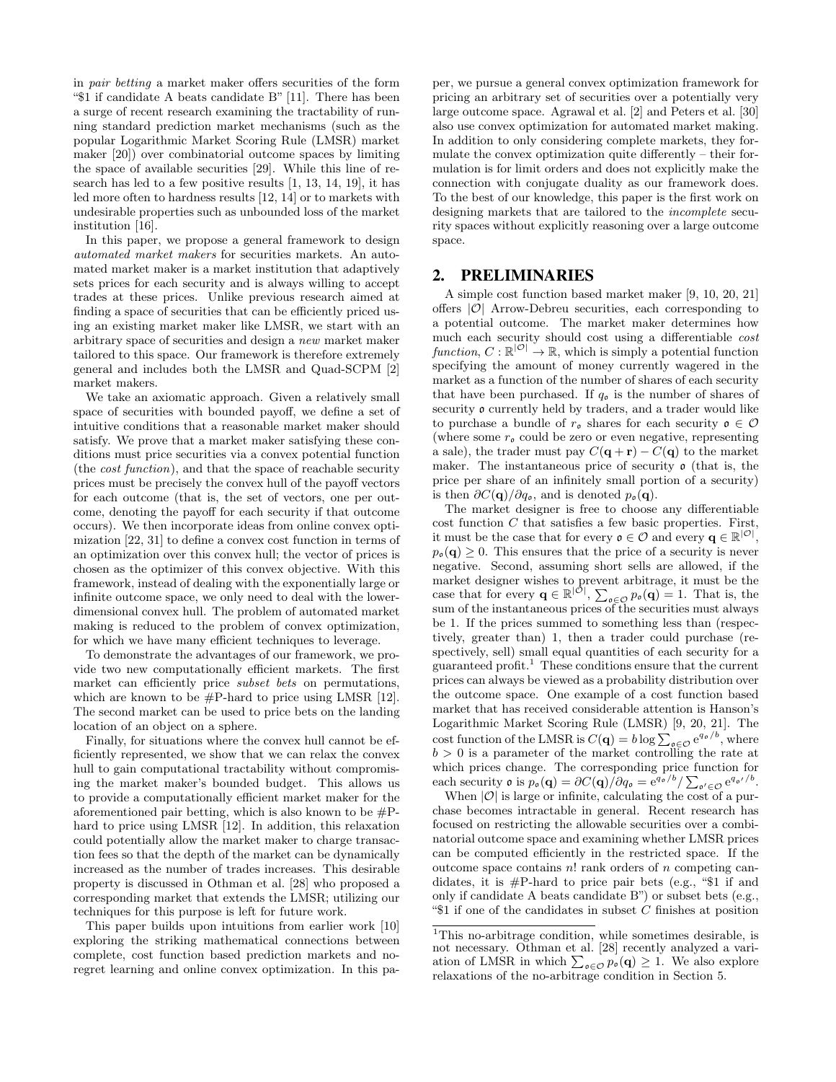in pair betting a market maker offers securities of the form "\$1 if candidate A beats candidate B" [11]. There has been a surge of recent research examining the tractability of running standard prediction market mechanisms (such as the popular Logarithmic Market Scoring Rule (LMSR) market maker [20]) over combinatorial outcome spaces by limiting the space of available securities [29]. While this line of research has led to a few positive results [1, 13, 14, 19], it has led more often to hardness results [12, 14] or to markets with undesirable properties such as unbounded loss of the market institution [16].

In this paper, we propose a general framework to design automated market makers for securities markets. An automated market maker is a market institution that adaptively sets prices for each security and is always willing to accept trades at these prices. Unlike previous research aimed at finding a space of securities that can be efficiently priced using an existing market maker like LMSR, we start with an arbitrary space of securities and design a new market maker tailored to this space. Our framework is therefore extremely general and includes both the LMSR and Quad-SCPM [2] market makers.

We take an axiomatic approach. Given a relatively small space of securities with bounded payoff, we define a set of intuitive conditions that a reasonable market maker should satisfy. We prove that a market maker satisfying these conditions must price securities via a convex potential function (the cost function), and that the space of reachable security prices must be precisely the convex hull of the payoff vectors for each outcome (that is, the set of vectors, one per outcome, denoting the payoff for each security if that outcome occurs). We then incorporate ideas from online convex optimization [22, 31] to define a convex cost function in terms of an optimization over this convex hull; the vector of prices is chosen as the optimizer of this convex objective. With this framework, instead of dealing with the exponentially large or infinite outcome space, we only need to deal with the lowerdimensional convex hull. The problem of automated market making is reduced to the problem of convex optimization, for which we have many efficient techniques to leverage.

To demonstrate the advantages of our framework, we provide two new computationally efficient markets. The first market can efficiently price subset bets on permutations, which are known to be #P-hard to price using LMSR [12]. The second market can be used to price bets on the landing location of an object on a sphere.

Finally, for situations where the convex hull cannot be efficiently represented, we show that we can relax the convex hull to gain computational tractability without compromising the market maker's bounded budget. This allows us to provide a computationally efficient market maker for the aforementioned pair betting, which is also known to be  $\#P$ hard to price using LMSR [12]. In addition, this relaxation could potentially allow the market maker to charge transaction fees so that the depth of the market can be dynamically increased as the number of trades increases. This desirable property is discussed in Othman et al. [28] who proposed a corresponding market that extends the LMSR; utilizing our techniques for this purpose is left for future work.

This paper builds upon intuitions from earlier work [10] exploring the striking mathematical connections between complete, cost function based prediction markets and noregret learning and online convex optimization. In this paper, we pursue a general convex optimization framework for pricing an arbitrary set of securities over a potentially very large outcome space. Agrawal et al. [2] and Peters et al. [30] also use convex optimization for automated market making. In addition to only considering complete markets, they formulate the convex optimization quite differently – their formulation is for limit orders and does not explicitly make the connection with conjugate duality as our framework does. To the best of our knowledge, this paper is the first work on designing markets that are tailored to the incomplete security spaces without explicitly reasoning over a large outcome space.

#### 2. PRELIMINARIES

A simple cost function based market maker [9, 10, 20, 21] offers  $|O|$  Arrow-Debreu securities, each corresponding to a potential outcome. The market maker determines how much each security should cost using a differentiable cost function,  $C: \mathbb{R}^{|\mathcal{O}|} \to \mathbb{R}$ , which is simply a potential function specifying the amount of money currently wagered in the market as a function of the number of shares of each security that have been purchased. If  $q_0$  is the number of shares of security  $\rho$  currently held by traders, and a trader would like to purchase a bundle of  $r_{\mathfrak{o}}$  shares for each security  $\mathfrak{o} \in \mathcal{O}$ (where some  $r_{\mathfrak{o}}$  could be zero or even negative, representing a sale), the trader must pay  $C(\mathbf{q} + \mathbf{r}) - C(\mathbf{q})$  to the market maker. The instantaneous price of security  $\rho$  (that is, the price per share of an infinitely small portion of a security) is then  $\partial C(\mathbf{q})/\partial q_o$ , and is denoted  $p_o(\mathbf{q})$ .

The market designer is free to choose any differentiable  $\cot$  function  $C$  that satisfies a few basic properties. First, it must be the case that for every  $o \in \mathcal{O}$  and every  $q \in \mathbb{R}^{|\mathcal{O}|}$ ,  $p_{\mathfrak{o}}(\mathbf{q}) \geq 0$ . This ensures that the price of a security is never negative. Second, assuming short sells are allowed, if the market designer wishes to prevent arbitrage, it must be the case that for every  $\mathbf{q} \in \mathbb{R}^{|\mathcal{O}|}$ ,  $\sum_{\mathfrak{o} \in \mathcal{O}} p_{\mathfrak{o}}(\mathbf{q}) = 1$ . That is, the sum of the instantaneous prices of the securities must always be 1. If the prices summed to something less than (respectively, greater than) 1, then a trader could purchase (respectively, sell) small equal quantities of each security for a guaranteed profit.<sup>1</sup> These conditions ensure that the current prices can always be viewed as a probability distribution over the outcome space. One example of a cost function based market that has received considerable attention is Hanson's Logarithmic Market Scoring Rule (LMSR) [9, 20, 21]. The cost function of the LMSR is  $C(\mathbf{q}) = b \log \sum_{\mathfrak{o} \in \mathcal{O}} e^{q_{\mathfrak{o}}/b}$ , where  $b > 0$  is a parameter of the market controlling the rate at which prices change. The corresponding price function for each security  $\mathfrak{o}$  is  $p_{\mathfrak{o}}(\mathbf{q}) = \partial C(\mathbf{q})/\partial q_{\mathfrak{o}} = e^{q_{\mathfrak{o}}/b} / \sum_{\mathfrak{o}' \in \mathcal{O}} e^{q_{\mathfrak{o}'}/b}.$ 

When  $|O|$  is large or infinite, calculating the cost of a purchase becomes intractable in general. Recent research has focused on restricting the allowable securities over a combinatorial outcome space and examining whether LMSR prices can be computed efficiently in the restricted space. If the outcome space contains  $n!$  rank orders of n competing candidates, it is  $#P$ -hard to price pair bets (e.g., "\$1 if and only if candidate A beats candidate B") or subset bets (e.g., " $$1$  if one of the candidates in subset C finishes at position

<sup>&</sup>lt;sup>1</sup>This no-arbitrage condition, while sometimes desirable, is not necessary. Othman et al. [28] recently analyzed a variation of LMSR in which  $\sum_{\mathfrak{o}\in\mathcal{O}} p_{\mathfrak{o}}(\mathbf{q}) \geq 1$ . We also explore relaxations of the no-arbitrage condition in Section 5.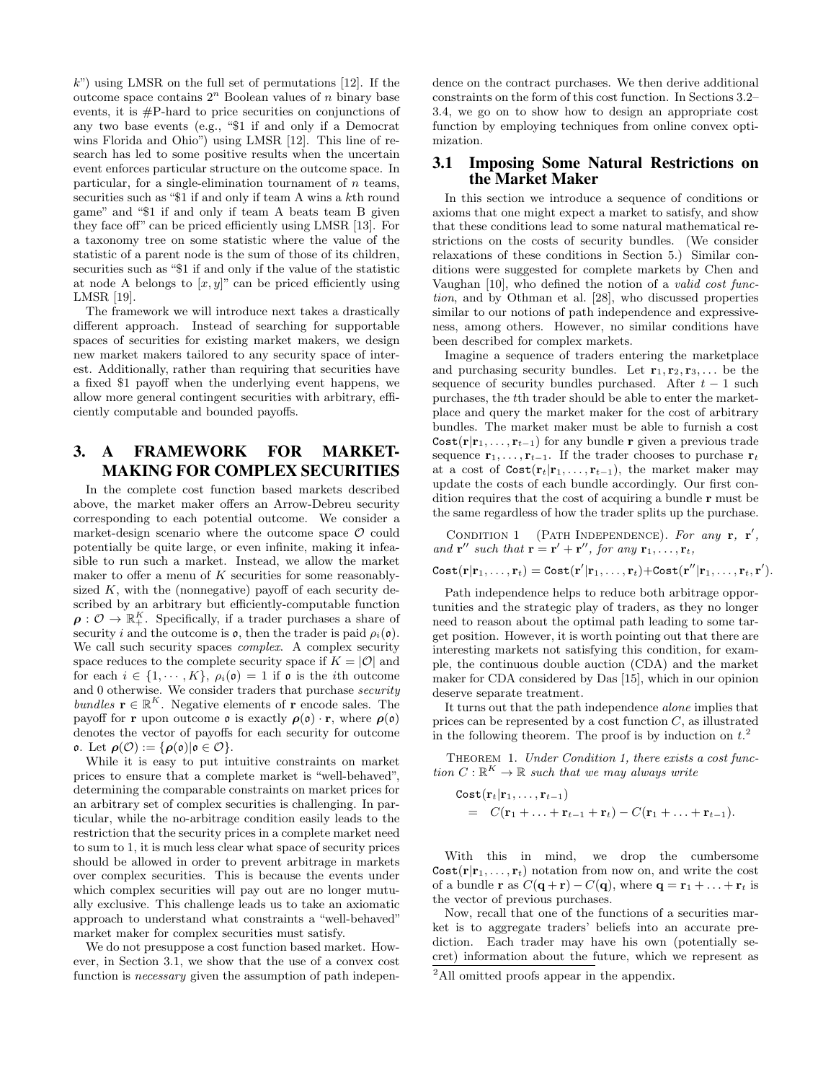$k$ ") using LMSR on the full set of permutations [12]. If the outcome space contains  $2^n$  Boolean values of n binary base events, it is #P-hard to price securities on conjunctions of any two base events (e.g., "\$1 if and only if a Democrat wins Florida and Ohio") using LMSR [12]. This line of research has led to some positive results when the uncertain event enforces particular structure on the outcome space. In particular, for a single-elimination tournament of  $n$  teams, securities such as "\$1 if and only if team A wins a kth round game" and "\$1 if and only if team A beats team B given they face off" can be priced efficiently using LMSR [13]. For a taxonomy tree on some statistic where the value of the statistic of a parent node is the sum of those of its children, securities such as "\$1 if and only if the value of the statistic at node A belongs to  $[x, y]$ " can be priced efficiently using LMSR [19].

The framework we will introduce next takes a drastically different approach. Instead of searching for supportable spaces of securities for existing market makers, we design new market makers tailored to any security space of interest. Additionally, rather than requiring that securities have a fixed \$1 payoff when the underlying event happens, we allow more general contingent securities with arbitrary, efficiently computable and bounded payoffs.

# 3. A FRAMEWORK FOR MARKET-MAKING FOR COMPLEX SECURITIES

In the complete cost function based markets described above, the market maker offers an Arrow-Debreu security corresponding to each potential outcome. We consider a market-design scenario where the outcome space  $\mathcal O$  could potentially be quite large, or even infinite, making it infeasible to run such a market. Instead, we allow the market maker to offer a menu of  $K$  securities for some reasonablysized  $K$ , with the (nonnegative) payoff of each security described by an arbitrary but efficiently-computable function  $\rho: \mathcal{O} \to \mathbb{R}_+^K$ . Specifically, if a trader purchases a share of security i and the outcome is  $\mathfrak{o}$ , then the trader is paid  $\rho_i(\mathfrak{o})$ . We call such security spaces *complex*. A complex security space reduces to the complete security space if  $K = |O|$  and for each  $i \in \{1, \dots, K\}$ ,  $\rho_i(\mathfrak{o}) = 1$  if  $\mathfrak{o}$  is the *i*th outcome and 0 otherwise. We consider traders that purchase security bundles  $\mathbf{r} \in \mathbb{R}^K$ . Negative elements of  $\mathbf{r}$  encode sales. The payoff for **r** upon outcome **o** is exactly  $\rho(\rho) \cdot \mathbf{r}$ , where  $\rho(\rho)$ denotes the vector of payoffs for each security for outcome  $ρ.$  Let  $ρ(Ø) := {ρ(ρ)|ρ ∈ Ø}.$ 

While it is easy to put intuitive constraints on market prices to ensure that a complete market is "well-behaved", determining the comparable constraints on market prices for an arbitrary set of complex securities is challenging. In particular, while the no-arbitrage condition easily leads to the restriction that the security prices in a complete market need to sum to 1, it is much less clear what space of security prices should be allowed in order to prevent arbitrage in markets over complex securities. This is because the events under which complex securities will pay out are no longer mutually exclusive. This challenge leads us to take an axiomatic approach to understand what constraints a "well-behaved" market maker for complex securities must satisfy.

We do not presuppose a cost function based market. However, in Section 3.1, we show that the use of a convex cost function is *necessary* given the assumption of path independence on the contract purchases. We then derive additional constraints on the form of this cost function. In Sections 3.2– 3.4, we go on to show how to design an appropriate cost function by employing techniques from online convex optimization.

#### 3.1 Imposing Some Natural Restrictions on the Market Maker

In this section we introduce a sequence of conditions or axioms that one might expect a market to satisfy, and show that these conditions lead to some natural mathematical restrictions on the costs of security bundles. (We consider relaxations of these conditions in Section 5.) Similar conditions were suggested for complete markets by Chen and Vaughan [10], who defined the notion of a valid cost function, and by Othman et al. [28], who discussed properties similar to our notions of path independence and expressiveness, among others. However, no similar conditions have been described for complex markets.

Imagine a sequence of traders entering the marketplace and purchasing security bundles. Let  $\mathbf{r}_1, \mathbf{r}_2, \mathbf{r}_3, \ldots$  be the sequence of security bundles purchased. After  $t - 1$  such purchases, the tth trader should be able to enter the marketplace and query the market maker for the cost of arbitrary bundles. The market maker must be able to furnish a cost  $Cost(\mathbf{r}|\mathbf{r}_1,\ldots,\mathbf{r}_{t-1})$  for any bundle r given a previous trade sequence  $\mathbf{r}_1, \ldots, \mathbf{r}_{t-1}$ . If the trader chooses to purchase  $\mathbf{r}_t$ at a cost of  $Cost(r_t|r_1, \ldots, r_{t-1}),$  the market maker may update the costs of each bundle accordingly. Our first condition requires that the cost of acquiring a bundle r must be the same regardless of how the trader splits up the purchase.

CONDITION 1 (PATH INDEPENDENCE). For any  $\mathbf{r}, \ \mathbf{r}'$ , and  $\mathbf{r}''$  such that  $\mathbf{r} = \mathbf{r}' + \mathbf{r}''$ , for any  $\mathbf{r}_1, \ldots, \mathbf{r}_t$ ,

 $\texttt{Cost}(\mathbf{r}|\mathbf{r}_1,\dots,\mathbf{r}_t)=\texttt{Cost}(\mathbf{r}'|\mathbf{r}_1,\dots,\mathbf{r}_t)+\texttt{Cost}(\mathbf{r}''|\mathbf{r}_1,\dots,\mathbf{r}_t,\mathbf{r}').$ 

Path independence helps to reduce both arbitrage opportunities and the strategic play of traders, as they no longer need to reason about the optimal path leading to some target position. However, it is worth pointing out that there are interesting markets not satisfying this condition, for example, the continuous double auction (CDA) and the market maker for CDA considered by Das [15], which in our opinion deserve separate treatment.

It turns out that the path independence alone implies that prices can be represented by a cost function  $C$ , as illustrated in the following theorem. The proof is by induction on  $t^2$ .

THEOREM 1. Under Condition 1, there exists a cost function  $C: \mathbb{R}^K \to \mathbb{R}$  such that we may always write

$$
\begin{array}{lcl}\n\text{Cost}(\mathbf{r}_t|\mathbf{r}_1,\ldots,\mathbf{r}_{t-1}) \\
&=& C(\mathbf{r}_1+\ldots+\mathbf{r}_{t-1}+\mathbf{r}_t)-C(\mathbf{r}_1+\ldots+\mathbf{r}_{t-1}).\n\end{array}
$$

With this in mind, we drop the cumbersome  $\text{Cost}(\mathbf{r}|\mathbf{r}_1,\ldots,\mathbf{r}_t)$  notation from now on, and write the cost of a bundle **r** as  $C(\mathbf{q} + \mathbf{r}) - C(\mathbf{q})$ , where  $\mathbf{q} = \mathbf{r}_1 + \ldots + \mathbf{r}_t$  is the vector of previous purchases.

Now, recall that one of the functions of a securities market is to aggregate traders' beliefs into an accurate prediction. Each trader may have his own (potentially secret) information about the future, which we represent as

<sup>&</sup>lt;sup>2</sup>All omitted proofs appear in the appendix.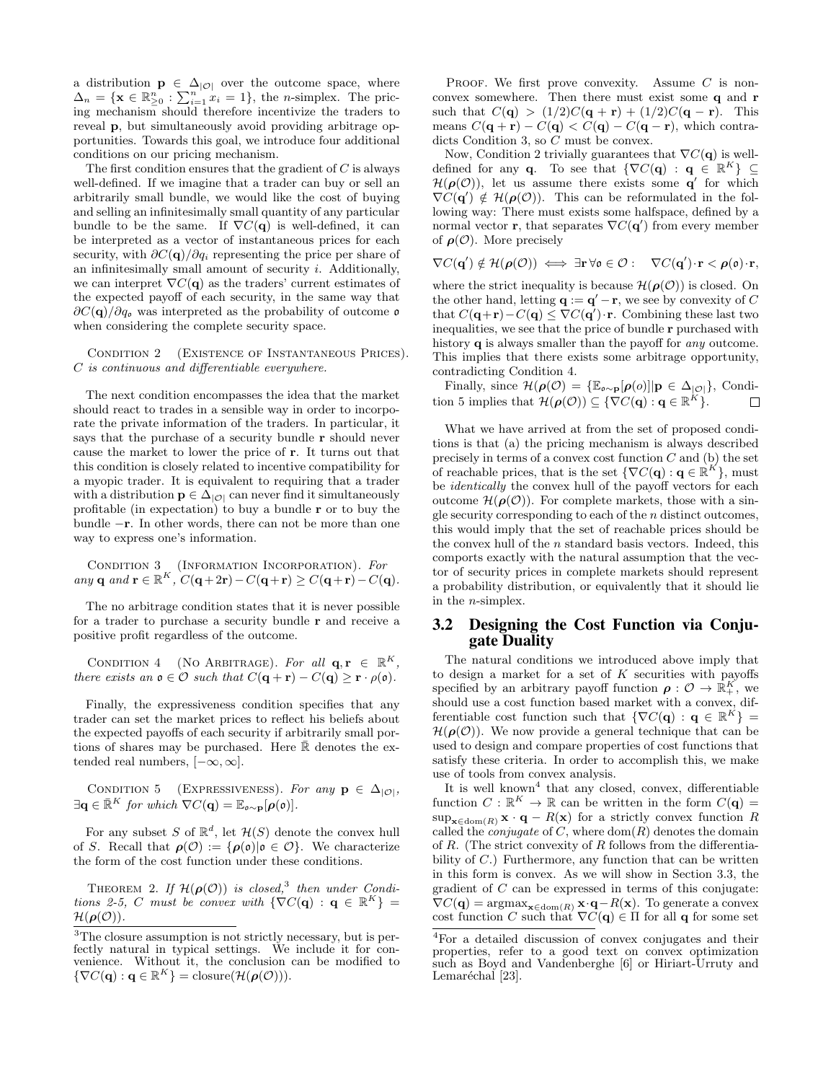a distribution  $p \in \Delta_{|\mathcal{O}|}$  over the outcome space, where  $\Delta_n = \{ \mathbf{x} \in \mathbb{R}^n_{\geq 0} : \sum_{i=1}^n x_i = 1 \},\$  the *n*-simplex. The pricing mechanism should therefore incentivize the traders to reveal p, but simultaneously avoid providing arbitrage opportunities. Towards this goal, we introduce four additional conditions on our pricing mechanism.

The first condition ensures that the gradient of  $C$  is always well-defined. If we imagine that a trader can buy or sell an arbitrarily small bundle, we would like the cost of buying and selling an infinitesimally small quantity of any particular bundle to be the same. If  $\nabla C(\mathbf{q})$  is well-defined, it can be interpreted as a vector of instantaneous prices for each security, with  $\partial C(\mathbf{q})/\partial q_i$  representing the price per share of an infinitesimally small amount of security  $i$ . Additionally, we can interpret  $\nabla C(\mathbf{q})$  as the traders' current estimates of the expected payoff of each security, in the same way that  $\partial C(\mathbf{q})/\partial q_{\mathfrak{o}}$  was interpreted as the probability of outcome  $\mathfrak{o}$ when considering the complete security space.

CONDITION 2 (EXISTENCE OF INSTANTANEOUS PRICES). C is continuous and differentiable everywhere.

The next condition encompasses the idea that the market should react to trades in a sensible way in order to incorporate the private information of the traders. In particular, it says that the purchase of a security bundle r should never cause the market to lower the price of r. It turns out that this condition is closely related to incentive compatibility for a myopic trader. It is equivalent to requiring that a trader with a distribution  $\mathbf{p} \in \Delta_{|\mathcal{O}|}$  can never find it simultaneously profitable (in expectation) to buy a bundle r or to buy the bundle −r. In other words, there can not be more than one way to express one's information.

CONDITION 3 (INFORMATION INCORPORATION). For any q and  $\mathbf{r} \in \mathbb{R}^K$ ,  $C(\mathbf{q}+2\mathbf{r})-C(\mathbf{q}+\mathbf{r}) \geq C(\mathbf{q}+\mathbf{r})-C(\mathbf{q})$ .

The no arbitrage condition states that it is never possible for a trader to purchase a security bundle r and receive a positive profit regardless of the outcome.

CONDITION 4 (NO ARBITRAGE). For all  $\mathbf{q}, \mathbf{r} \in \mathbb{R}^K$ , there exists an  $\mathfrak{o} \in \mathcal{O}$  such that  $C(\mathbf{q} + \mathbf{r}) - C(\mathbf{q}) \geq \mathbf{r} \cdot \rho(\mathfrak{o})$ .

Finally, the expressiveness condition specifies that any trader can set the market prices to reflect his beliefs about the expected payoffs of each security if arbitrarily small portions of shares may be purchased. Here  $\overline{\mathbb{R}}$  denotes the extended real numbers,  $[-\infty, \infty]$ .

CONDITION 5 (EXPRESSIVENESS). For any  $\mathbf{p} \in \Delta_{|\mathcal{O}|}$ ,  $\exists \mathbf{q} \in \bar{\mathbb{R}}^K$  for which  $\nabla C(\mathbf{q}) = \mathbb{E}_{\mathfrak{o} \sim \mathbf{p}}[\boldsymbol{\rho}(\mathfrak{o})].$ 

For any subset S of  $\mathbb{R}^d$ , let  $\mathcal{H}(S)$  denote the convex hull of S. Recall that  $\rho(\mathcal{O}) := {\rho(\mathfrak{o})}|\mathfrak{o} \in \mathcal{O}$ . We characterize the form of the cost function under these conditions.

THEOREM 2. If  $\mathcal{H}(\boldsymbol{\rho}(\mathcal{O}))$  is closed,<sup>3</sup> then under Conditions 2-5, C must be convex with  $\{\nabla C(\mathbf{q}) : \mathbf{q} \in \mathbb{R}^K\}$  =  $\mathcal{H}(\boldsymbol{\rho}(\mathcal{O}))$ .

PROOF. We first prove convexity. Assume  $C$  is nonconvex somewhere. Then there must exist some q and r such that  $C(q) > (1/2)C(q + r) + (1/2)C(q - r)$ . This means  $C(\mathbf{q} + \mathbf{r}) - C(\mathbf{q}) < C(\mathbf{q}) - C(\mathbf{q} - \mathbf{r})$ , which contradicts Condition 3, so C must be convex.

Now, Condition 2 trivially guarantees that  $\nabla C(\mathbf{q})$  is welldefined for any **q**. To see that  $\{\nabla C(\mathbf{q}) : \mathbf{q} \in \mathbb{R}^K\} \subseteq$  $\mathcal{H}(\rho(\mathcal{O}))$ , let us assume there exists some q' for which  $\nabla C(\mathbf{q}') \notin \mathcal{H}(\boldsymbol{\rho}(\mathcal{O}))$ . This can be reformulated in the following way: There must exists some halfspace, defined by a normal vector **r**, that separates  $\nabla C(\mathbf{q}')$  from every member of  $\rho(\mathcal{O})$ . More precisely

$$
\nabla C(\mathbf{q}') \notin \mathcal{H}(\boldsymbol{\rho}(\mathcal{O})) \iff \exists \mathbf{r} \, \forall \mathfrak{o} \in \mathcal{O}: \quad \nabla C(\mathbf{q}') \cdot \mathbf{r} < \boldsymbol{\rho}(\mathfrak{o}) \cdot \mathbf{r},
$$

where the strict inequality is because  $\mathcal{H}(\rho(\mathcal{O}))$  is closed. On the other hand, letting  $\mathbf{q} := \mathbf{q}' - \mathbf{r}$ , we see by convexity of C that  $C(\mathbf{q}+\mathbf{r})-C(\mathbf{q}) \leq \nabla C(\mathbf{q}')\cdot \mathbf{r}$ . Combining these last two inequalities, we see that the price of bundle r purchased with history **q** is always smaller than the payoff for *any* outcome. This implies that there exists some arbitrage opportunity, contradicting Condition 4.

Finally, since  $\mathcal{H}(\boldsymbol{\rho}(\mathcal{O}) = {\mathbb{E}_{\mathfrak{o} \sim \mathbf{p}}[\boldsymbol{\rho}(o)] | \mathbf{p} \in \Delta_{|\mathcal{O}|}}, \text{Condi-}$ tion 5 implies that  $\mathcal{H}(\boldsymbol{\rho}(\mathcal{O})) \subseteq \{ \nabla C(\mathbf{q}) : \mathbf{q} \in \mathbb{R}^K \}.$  $\Box$ 

What we have arrived at from the set of proposed conditions is that (a) the pricing mechanism is always described precisely in terms of a convex cost function  $C$  and (b) the set of reachable prices, that is the set  $\{\nabla C(\mathbf{q}) : \mathbf{q} \in \mathbb{R}^K\},\$ must be identically the convex hull of the payoff vectors for each outcome  $\mathcal{H}(\rho(\mathcal{O}))$ . For complete markets, those with a single security corresponding to each of the  $n$  distinct outcomes, this would imply that the set of reachable prices should be the convex hull of the n standard basis vectors. Indeed, this comports exactly with the natural assumption that the vector of security prices in complete markets should represent a probability distribution, or equivalently that it should lie in the n-simplex.

# 3.2 Designing the Cost Function via Conjugate Duality

The natural conditions we introduced above imply that to design a market for a set of  $K$  securities with payoffs specified by an arbitrary payoff function  $\rho: \mathcal{O} \to \mathbb{R}^K_+$ , we should use a cost function based market with a convex, differentiable cost function such that  $\{\nabla C(\mathbf{q}) : \mathbf{q} \in \mathbb{R}^K\} =$  $\mathcal{H}(\rho(\mathcal{O}))$ . We now provide a general technique that can be used to design and compare properties of cost functions that satisfy these criteria. In order to accomplish this, we make use of tools from convex analysis.

It is well known<sup>4</sup> that any closed, convex, differentiable function  $C : \mathbb{R}^K \to \mathbb{R}$  can be written in the form  $C(\mathbf{q}) =$  $\sup_{\mathbf{x} \in \text{dom}(R)} \mathbf{x} \cdot \mathbf{q} - R(\mathbf{x})$  for a strictly convex function R called the *conjugate* of C, where  $dom(R)$  denotes the domain of R. (The strict convexity of R follows from the differentiability of C.) Furthermore, any function that can be written in this form is convex. As we will show in Section 3.3, the gradient of  $C$  can be expressed in terms of this conjugate:  $\nabla C(\mathbf{q}) = \operatorname{argmax}_{\mathbf{x} \in \text{dom}(R)} \mathbf{x} \cdot \mathbf{q} - R(\mathbf{x})$ . To generate a convex cost function C such that  $\nabla C(\mathbf{q}) \in \Pi$  for all **q** for some set

<sup>&</sup>lt;sup>3</sup>The closure assumption is not strictly necessary, but is perfectly natural in typical settings. We include it for convenience. Without it, the conclusion can be modified to  $\{\nabla C(\mathbf{q}): \mathbf{q} \in \mathbb{R}^K\} = \text{closure}(\mathcal{H}(\boldsymbol{\rho}(\mathcal{O}))).$ 

<sup>4</sup>For a detailed discussion of convex conjugates and their properties, refer to a good text on convex optimization such as Boyd and Vandenberghe [6] or Hiriart-Urruty and Lemaréchal<sup>[23]</sup>.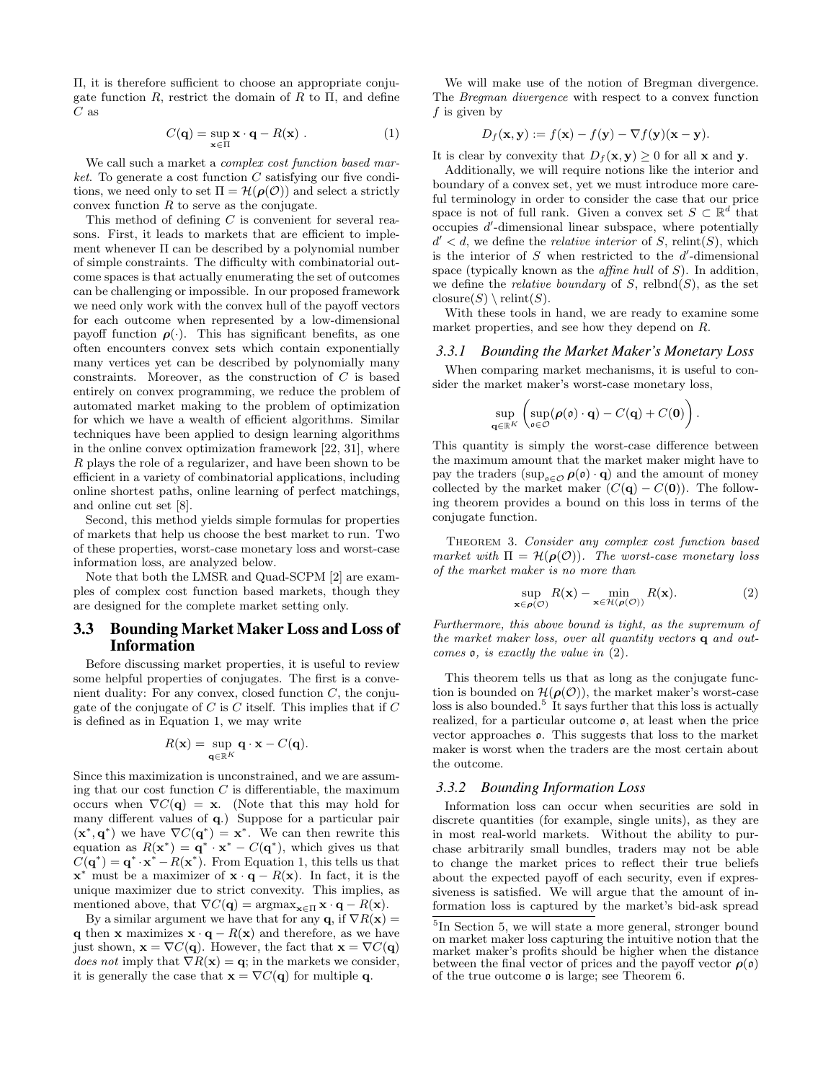Π, it is therefore sufficient to choose an appropriate conjugate function  $R$ , restrict the domain of  $R$  to  $\Pi$ , and define  $C$  as

$$
C(\mathbf{q}) = \sup_{\mathbf{x} \in \Pi} \mathbf{x} \cdot \mathbf{q} - R(\mathbf{x}) . \tag{1}
$$

We call such a market a *complex cost function based mar*ket. To generate a cost function  $C$  satisfying our five conditions, we need only to set  $\Pi = \mathcal{H}(\rho(\mathcal{O}))$  and select a strictly convex function  $R$  to serve as the conjugate.

This method of defining C is convenient for several reasons. First, it leads to markets that are efficient to implement whenever Π can be described by a polynomial number of simple constraints. The difficulty with combinatorial outcome spaces is that actually enumerating the set of outcomes can be challenging or impossible. In our proposed framework we need only work with the convex hull of the payoff vectors for each outcome when represented by a low-dimensional payoff function  $\rho(\cdot)$ . This has significant benefits, as one often encounters convex sets which contain exponentially many vertices yet can be described by polynomially many constraints. Moreover, as the construction of  $C$  is based entirely on convex programming, we reduce the problem of automated market making to the problem of optimization for which we have a wealth of efficient algorithms. Similar techniques have been applied to design learning algorithms in the online convex optimization framework [22, 31], where R plays the role of a regularizer, and have been shown to be efficient in a variety of combinatorial applications, including online shortest paths, online learning of perfect matchings, and online cut set [8].

Second, this method yields simple formulas for properties of markets that help us choose the best market to run. Two of these properties, worst-case monetary loss and worst-case information loss, are analyzed below.

Note that both the LMSR and Quad-SCPM [2] are examples of complex cost function based markets, though they are designed for the complete market setting only.

## 3.3 Bounding Market Maker Loss and Loss of Information

Before discussing market properties, it is useful to review some helpful properties of conjugates. The first is a convenient duality: For any convex, closed function  $C$ , the conjugate of the conjugate of  $C$  is  $C$  itself. This implies that if  $C$ is defined as in Equation 1, we may write

$$
R(\mathbf{x}) = \sup_{\mathbf{q} \in \mathbb{R}^K} \mathbf{q} \cdot \mathbf{x} - C(\mathbf{q}).
$$

Since this maximization is unconstrained, and we are assuming that our cost function  $C$  is differentiable, the maximum occurs when  $\nabla C(\mathbf{q}) = \mathbf{x}$ . (Note that this may hold for many different values of q.) Suppose for a particular pair  $(\mathbf{x}^*, \mathbf{q}^*)$  we have  $\nabla C(\mathbf{q}^*) = \mathbf{x}^*$ . We can then rewrite this equation as  $R(\mathbf{x}^*) = \mathbf{q}^* \cdot \mathbf{x}^* - C(\mathbf{q}^*)$ , which gives us that  $C(\mathbf{q}^*) = \mathbf{q}^* \cdot \mathbf{x}^* - R(\mathbf{x}^*)$ . From Equation 1, this tells us that  $\mathbf{x}^*$  must be a maximizer of  $\mathbf{x} \cdot \mathbf{q} - R(\mathbf{x})$ . In fact, it is the unique maximizer due to strict convexity. This implies, as mentioned above, that  $\nabla C(\mathbf{q}) = \operatorname{argmax}_{\mathbf{x} \in \Pi} \mathbf{x} \cdot \mathbf{q} - R(\mathbf{x}).$ 

By a similar argument we have that for any  $\mathbf{q}$ , if  $\nabla R(\mathbf{x}) =$ q then x maximizes  $x \cdot q - R(x)$  and therefore, as we have just shown,  $\mathbf{x} = \nabla C(\mathbf{q})$ . However, the fact that  $\mathbf{x} = \nabla C(\mathbf{q})$ does not imply that  $\nabla R(\mathbf{x}) = \mathbf{q}$ ; in the markets we consider, it is generally the case that  $\mathbf{x} = \nabla C(\mathbf{q})$  for multiple q.

We will make use of the notion of Bregman divergence. The Bregman divergence with respect to a convex function f is given by

$$
D_f(\mathbf{x}, \mathbf{y}) := f(\mathbf{x}) - f(\mathbf{y}) - \nabla f(\mathbf{y})(\mathbf{x} - \mathbf{y}).
$$

It is clear by convexity that  $D_f(\mathbf{x}, \mathbf{y}) \geq 0$  for all **x** and **y**.

Additionally, we will require notions like the interior and boundary of a convex set, yet we must introduce more careful terminology in order to consider the case that our price space is not of full rank. Given a convex set  $S \subset \mathbb{R}^d$  that  $\alpha$  occupies  $d'$ -dimensional linear subspace, where potentially  $d' < d$ , we define the *relative interior* of S, relint(S), which is the interior of  $S$  when restricted to the  $d'$ -dimensional space (typically known as the *affine hull* of  $S$ ). In addition, we define the *relative boundary* of  $S$ , relbnd $(S)$ , as the set closure $(S) \setminus$  relint $(S)$ .

With these tools in hand, we are ready to examine some market properties, and see how they depend on R.

#### *3.3.1 Bounding the Market Maker's Monetary Loss*

When comparing market mechanisms, it is useful to consider the market maker's worst-case monetary loss,

$$
\sup_{\mathbf{q}\in\mathbb{R}^K}\left(\sup_{\mathfrak{o}\in\mathcal{O}}(\boldsymbol{\rho}(\mathfrak{o})\cdot\mathbf{q})-C(\mathbf{q})+C(\mathbf{0})\right).
$$

This quantity is simply the worst-case difference between the maximum amount that the market maker might have to pay the traders  $(\sup_{\mathfrak{o}\in\mathcal{O}}\rho(\mathfrak{o})\cdot\mathbf{q})$  and the amount of money collected by the market maker  $(C(\mathbf{q}) - C(\mathbf{0}))$ . The following theorem provides a bound on this loss in terms of the conjugate function.

Theorem 3. Consider any complex cost function based market with  $\Pi = \mathcal{H}(\rho(\mathcal{O}))$ . The worst-case monetary loss of the market maker is no more than

$$
\sup_{\mathbf{x}\in\rho(\mathcal{O})} R(\mathbf{x}) - \min_{\mathbf{x}\in\mathcal{H}(\rho(\mathcal{O}))} R(\mathbf{x}).
$$
\n(2)

Furthermore, this above bound is tight, as the supremum of the market maker loss, over all quantity vectors q and outcomes o, is exactly the value in (2).

This theorem tells us that as long as the conjugate function is bounded on  $\mathcal{H}(\rho(\mathcal{O}))$ , the market maker's worst-case loss is also bounded.<sup>5</sup> It says further that this loss is actually realized, for a particular outcome o, at least when the price vector approaches o. This suggests that loss to the market maker is worst when the traders are the most certain about the outcome.

#### *3.3.2 Bounding Information Loss*

Information loss can occur when securities are sold in discrete quantities (for example, single units), as they are in most real-world markets. Without the ability to purchase arbitrarily small bundles, traders may not be able to change the market prices to reflect their true beliefs about the expected payoff of each security, even if expressiveness is satisfied. We will argue that the amount of information loss is captured by the market's bid-ask spread

<sup>&</sup>lt;sup>5</sup>In Section 5, we will state a more general, stronger bound on market maker loss capturing the intuitive notion that the market maker's profits should be higher when the distance between the final vector of prices and the payoff vector  $\rho(\mathfrak{o})$ of the true outcome  $\rho$  is large; see Theorem 6.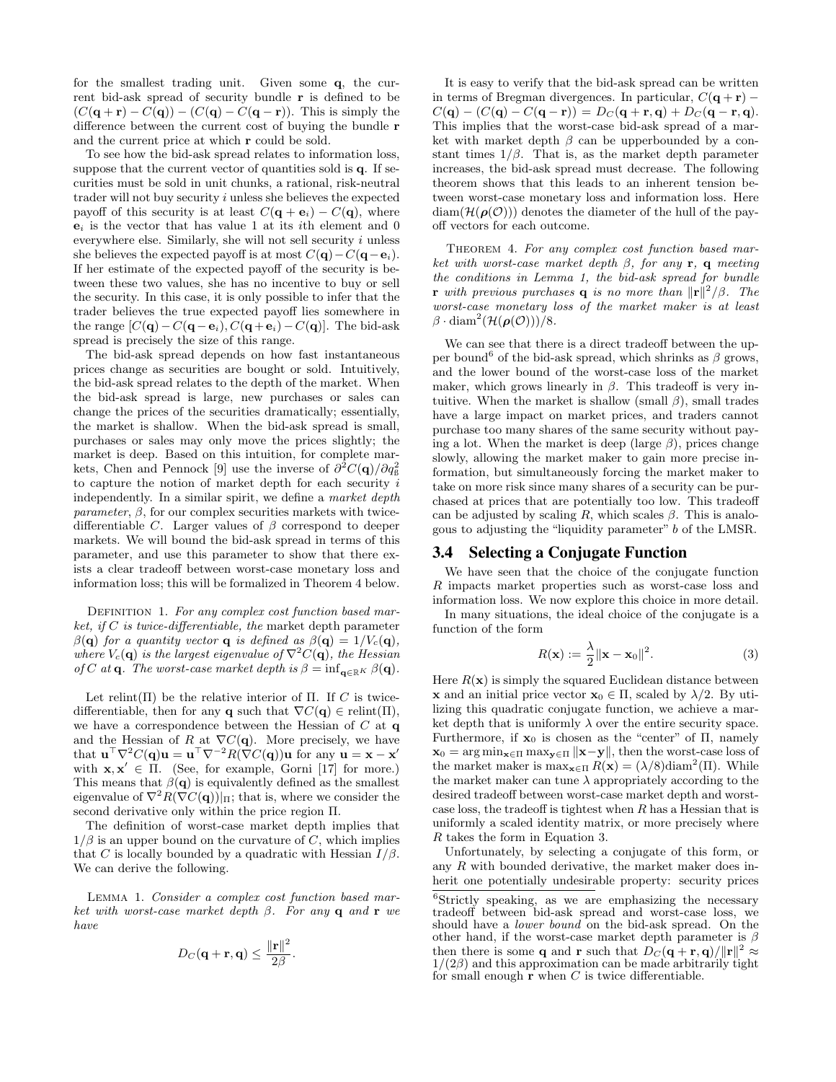for the smallest trading unit. Given some q, the current bid-ask spread of security bundle r is defined to be  $(C(\mathbf{q} + \mathbf{r}) - C(\mathbf{q})) - (C(\mathbf{q}) - C(\mathbf{q} - \mathbf{r}))$ . This is simply the difference between the current cost of buying the bundle r and the current price at which r could be sold.

To see how the bid-ask spread relates to information loss, suppose that the current vector of quantities sold is q. If securities must be sold in unit chunks, a rational, risk-neutral trader will not buy security i unless she believes the expected payoff of this security is at least  $C(\mathbf{q} + \mathbf{e}_i) - C(\mathbf{q})$ , where  $e_i$  is the vector that has value 1 at its *i*th element and 0 everywhere else. Similarly, she will not sell security  $i$  unless she believes the expected payoff is at most  $C(\mathbf{q})-C(\mathbf{q}-\mathbf{e}_i)$ . If her estimate of the expected payoff of the security is between these two values, she has no incentive to buy or sell the security. In this case, it is only possible to infer that the trader believes the true expected payoff lies somewhere in the range  $[C(\mathbf{q})-C(\mathbf{q}-\mathbf{e}_i), C(\mathbf{q}+\mathbf{e}_i)-C(\mathbf{q})]$ . The bid-ask spread is precisely the size of this range.

The bid-ask spread depends on how fast instantaneous prices change as securities are bought or sold. Intuitively, the bid-ask spread relates to the depth of the market. When the bid-ask spread is large, new purchases or sales can change the prices of the securities dramatically; essentially, the market is shallow. When the bid-ask spread is small, purchases or sales may only move the prices slightly; the market is deep. Based on this intuition, for complete markets, Chen and Pennock [9] use the inverse of  $\partial^2 C(\mathbf{q})/\partial q_8^2$ to capture the notion of market depth for each security  $i$ independently. In a similar spirit, we define a market depth parameter,  $\beta$ , for our complex securities markets with twicedifferentiable C. Larger values of  $\beta$  correspond to deeper markets. We will bound the bid-ask spread in terms of this parameter, and use this parameter to show that there exists a clear tradeoff between worst-case monetary loss and information loss; this will be formalized in Theorem 4 below.

DEFINITION 1. For any complex cost function based market, if  $C$  is twice-differentiable, the market depth parameter  $\beta(\mathbf{q})$  for a quantity vector **q** is defined as  $\beta(\mathbf{q}) = 1/V_c(\mathbf{q})$ , where  $V_c(\mathbf{q})$  is the largest eigenvalue of  $\nabla^2 C(\mathbf{q})$ , the Hessian of C at **q**. The worst-case market depth is  $\beta = \inf_{\mathbf{q} \in \mathbb{R}^K} \beta(\mathbf{q})$ .

Let relint( $\Pi$ ) be the relative interior of  $\Pi$ . If C is twicedifferentiable, then for any **q** such that  $\nabla C(\mathbf{q}) \in \text{relint}(\Pi)$ , we have a correspondence between the Hessian of  $C$  at  $q$ and the Hessian of R at  $\nabla C(\mathbf{q})$ . More precisely, we have that  $\mathbf{u}^\top \nabla^2 C(\mathbf{q}) \mathbf{u} = \mathbf{u}^\top \nabla^{-2} R(\nabla C(\mathbf{q})) \mathbf{u}$  for any  $\mathbf{u} = \mathbf{x} - \mathbf{x}'$ with  $\mathbf{x}, \mathbf{x}' \in \Pi$ . (See, for example, Gorni [17] for more.) This means that  $\beta(\mathbf{q})$  is equivalently defined as the smallest eigenvalue of  $\nabla^2 R(\nabla C(\mathbf{q}))|_{\Pi}$ ; that is, where we consider the second derivative only within the price region Π.

The definition of worst-case market depth implies that  $1/\beta$  is an upper bound on the curvature of C, which implies that C is locally bounded by a quadratic with Hessian  $I/\beta$ . We can derive the following.

Lemma 1. Consider a complex cost function based market with worst-case market depth  $\beta$ . For any **q** and **r** we have

$$
D_C(\mathbf{q}+\mathbf{r},\mathbf{q}) \leq \frac{\|\mathbf{r}\|^2}{2\beta}
$$

.

It is easy to verify that the bid-ask spread can be written in terms of Bregman divergences. In particular,  $C(\mathbf{q} + \mathbf{r})$  –  $C(q) - (C(q) - C(q - r)) = D_C(q + r, q) + D_C(q - r, q).$ This implies that the worst-case bid-ask spread of a market with market depth  $\beta$  can be upperbounded by a constant times  $1/\beta$ . That is, as the market depth parameter increases, the bid-ask spread must decrease. The following theorem shows that this leads to an inherent tension between worst-case monetary loss and information loss. Here  $\text{diam}(\mathcal{H}(\boldsymbol{\rho}(\mathcal{O})))$  denotes the diameter of the hull of the payoff vectors for each outcome.

THEOREM 4. For any complex cost function based market with worst-case market depth  $\beta$ , for any **r**, **q** meeting the conditions in Lemma 1, the bid-ask spread for bundle **r** with previous purchases **q** is no more than  $\|\mathbf{r}\|^2/\beta$ . The worst-case monetary loss of the market maker is at least  $\beta \cdot \text{diam}^2(\mathcal{H}(\boldsymbol{\rho}(\mathcal{O}))) / 8.$ 

We can see that there is a direct tradeoff between the upper bound<sup>6</sup> of the bid-ask spread, which shrinks as  $\beta$  grows, and the lower bound of the worst-case loss of the market maker, which grows linearly in  $\beta$ . This tradeoff is very intuitive. When the market is shallow (small  $\beta$ ), small trades have a large impact on market prices, and traders cannot purchase too many shares of the same security without paying a lot. When the market is deep (large  $\beta$ ), prices change slowly, allowing the market maker to gain more precise information, but simultaneously forcing the market maker to take on more risk since many shares of a security can be purchased at prices that are potentially too low. This tradeoff can be adjusted by scaling R, which scales  $\beta$ . This is analogous to adjusting the "liquidity parameter" b of the LMSR.

#### 3.4 Selecting a Conjugate Function

We have seen that the choice of the conjugate function R impacts market properties such as worst-case loss and information loss. We now explore this choice in more detail.

In many situations, the ideal choice of the conjugate is a function of the form

$$
R(\mathbf{x}) := \frac{\lambda}{2} ||\mathbf{x} - \mathbf{x}_0||^2.
$$
 (3)

Here  $R(\mathbf{x})$  is simply the squared Euclidean distance between **x** and an initial price vector  $\mathbf{x}_0 \in \Pi$ , scaled by  $\lambda/2$ . By utilizing this quadratic conjugate function, we achieve a market depth that is uniformly  $\lambda$  over the entire security space. Furthermore, if  $\mathbf{x}_0$  is chosen as the "center" of  $\Pi$ , namely  $\mathbf{x}_0 = \arg \min_{\mathbf{x} \in \Pi} \max_{\mathbf{y} \in \Pi} ||\mathbf{x} - \mathbf{y}||$ , then the worst-case loss of the market maker is  $\max_{\mathbf{x} \in \Pi} R(\mathbf{x}) = (\lambda/8) \text{diam}^2(\Pi)$ . While the market maker can tune  $\lambda$  appropriately according to the desired tradeoff between worst-case market depth and worstcase loss, the tradeoff is tightest when  $R$  has a Hessian that is uniformly a scaled identity matrix, or more precisely where R takes the form in Equation 3.

Unfortunately, by selecting a conjugate of this form, or any R with bounded derivative, the market maker does inherit one potentially undesirable property: security prices

<sup>6</sup>Strictly speaking, as we are emphasizing the necessary tradeoff between bid-ask spread and worst-case loss, we should have a lower bound on the bid-ask spread. On the other hand, if the worst-case market depth parameter is  $\beta$ then there is some **q** and **r** such that  $D_C(\mathbf{q} + \mathbf{r}, \mathbf{q})/||\mathbf{r}||^2 \approx$  $1/(2\beta)$  and this approximation can be made arbitrarily tight for small enough  $r$  when  $C$  is twice differentiable.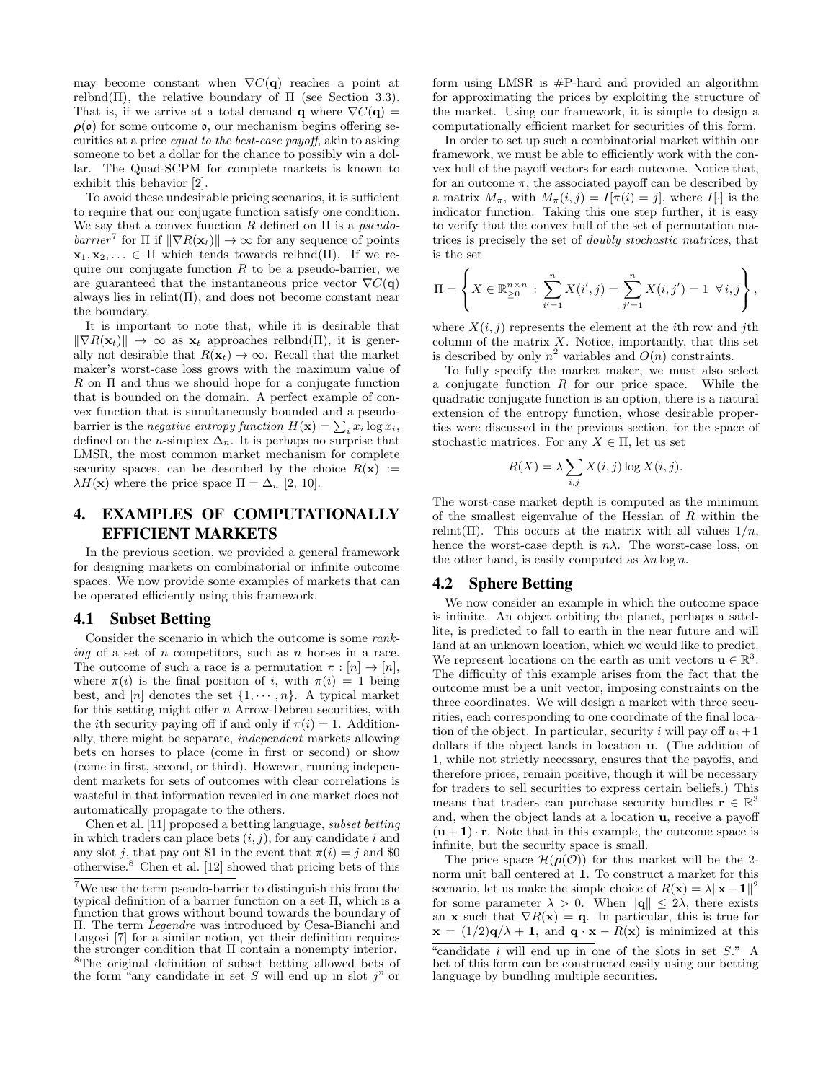may become constant when  $\nabla C(\mathbf{q})$  reaches a point at relbnd(Π), the relative boundary of  $\Pi$  (see Section 3.3). That is, if we arrive at a total demand **q** where  $\nabla C(\mathbf{q}) =$  $\rho(\mathfrak{o})$  for some outcome  $\mathfrak{o}$ , our mechanism begins offering securities at a price equal to the best-case payoff, akin to asking someone to bet a dollar for the chance to possibly win a dollar. The Quad-SCPM for complete markets is known to exhibit this behavior [2].

To avoid these undesirable pricing scenarios, it is sufficient to require that our conjugate function satisfy one condition. We say that a convex function R defined on  $\Pi$  is a *pseudo*barrier<sup>7</sup> for  $\Pi$  if  $\|\nabla R(\mathbf{x}_t)\| \to \infty$  for any sequence of points  $\mathbf{x}_1, \mathbf{x}_2, \ldots \in \Pi$  which tends towards relbnd(Π). If we require our conjugate function  $R$  to be a pseudo-barrier, we are guaranteed that the instantaneous price vector  $\nabla C(\mathbf{q})$ always lies in relint $(\Pi)$ , and does not become constant near the boundary.

It is important to note that, while it is desirable that  $\|\nabla R(\mathbf{x}_t)\| \to \infty$  as  $\mathbf{x}_t$  approaches relbnd(Π), it is generally not desirable that  $R(\mathbf{x}_t) \to \infty$ . Recall that the market maker's worst-case loss grows with the maximum value of  $R$  on  $\Pi$  and thus we should hope for a conjugate function that is bounded on the domain. A perfect example of convex function that is simultaneously bounded and a pseudobarrier is the *negative entropy function*  $H(\mathbf{x}) = \sum_i x_i \log x_i$ , defined on the *n*-simplex  $\Delta_n$ . It is perhaps no surprise that LMSR, the most common market mechanism for complete security spaces, can be described by the choice  $R(\mathbf{x}) :=$  $\lambda H(\mathbf{x})$  where the price space  $\Pi = \Delta_n [2, 10].$ 

# 4. EXAMPLES OF COMPUTATIONALLY EFFICIENT MARKETS

In the previous section, we provided a general framework for designing markets on combinatorial or infinite outcome spaces. We now provide some examples of markets that can be operated efficiently using this framework.

#### 4.1 Subset Betting

Consider the scenario in which the outcome is some ranking of a set of n competitors, such as n horses in a race. The outcome of such a race is a permutation  $\pi : [n] \to [n]$ , where  $\pi(i)$  is the final position of i, with  $\pi(i) = 1$  being best, and [n] denotes the set  $\{1, \dots, n\}$ . A typical market for this setting might offer  $n$  Arrow-Debreu securities, with the *i*th security paying off if and only if  $\pi(i) = 1$ . Additionally, there might be separate, independent markets allowing bets on horses to place (come in first or second) or show (come in first, second, or third). However, running independent markets for sets of outcomes with clear correlations is wasteful in that information revealed in one market does not automatically propagate to the others.

Chen et al. [11] proposed a betting language, subset betting in which traders can place bets  $(i, j)$ , for any candidate i and any slot j, that pay out \$1 in the event that  $\pi(i) = j$  and \$0 otherwise.<sup>8</sup> Chen et al. [12] showed that pricing bets of this

form using LMSR is #P-hard and provided an algorithm for approximating the prices by exploiting the structure of the market. Using our framework, it is simple to design a computationally efficient market for securities of this form.

In order to set up such a combinatorial market within our framework, we must be able to efficiently work with the convex hull of the payoff vectors for each outcome. Notice that, for an outcome  $\pi$ , the associated payoff can be described by a matrix  $M_{\pi}$ , with  $M_{\pi}(i, j) = I[\pi(i) = j]$ , where  $I[\cdot]$  is the indicator function. Taking this one step further, it is easy to verify that the convex hull of the set of permutation matrices is precisely the set of doubly stochastic matrices, that is the set

$$
\Pi = \left\{ X \in \mathbb{R}_{\geq 0}^{n \times n} : \sum_{i'=1}^{n} X(i',j) = \sum_{j'=1}^{n} X(i,j') = 1 \ \forall i,j \right\},\
$$

where  $X(i, j)$  represents the element at the *i*th row and *j*th column of the matrix  $X$ . Notice, importantly, that this set is described by only  $n^2$  variables and  $O(n)$  constraints.

To fully specify the market maker, we must also select a conjugate function  $R$  for our price space. While the quadratic conjugate function is an option, there is a natural extension of the entropy function, whose desirable properties were discussed in the previous section, for the space of stochastic matrices. For any  $X \in \Pi$ , let us set

$$
R(X) = \lambda \sum_{i,j} X(i,j) \log X(i,j).
$$

The worst-case market depth is computed as the minimum of the smallest eigenvalue of the Hessian of  $R$  within the relint(Π). This occurs at the matrix with all values  $1/n$ , hence the worst-case depth is  $n\lambda$ . The worst-case loss, on the other hand, is easily computed as  $\lambda n \log n$ .

## 4.2 Sphere Betting

We now consider an example in which the outcome space is infinite. An object orbiting the planet, perhaps a satellite, is predicted to fall to earth in the near future and will land at an unknown location, which we would like to predict. We represent locations on the earth as unit vectors  $\mathbf{u} \in \mathbb{R}^3$ . The difficulty of this example arises from the fact that the outcome must be a unit vector, imposing constraints on the three coordinates. We will design a market with three securities, each corresponding to one coordinate of the final location of the object. In particular, security i will pay off  $u_i + 1$ dollars if the object lands in location u. (The addition of 1, while not strictly necessary, ensures that the payoffs, and therefore prices, remain positive, though it will be necessary for traders to sell securities to express certain beliefs.) This means that traders can purchase security bundles  $\mathbf{r} \in \mathbb{R}^3$ and, when the object lands at a location u, receive a payoff  $(u + 1) \cdot r$ . Note that in this example, the outcome space is infinite, but the security space is small.

The price space  $\mathcal{H}(\rho(\mathcal{O}))$  for this market will be the 2norm unit ball centered at 1. To construct a market for this scenario, let us make the simple choice of  $R(\mathbf{x}) = \lambda \|\mathbf{x} - \mathbf{1}\|^2$ for some parameter  $\lambda > 0$ . When  $\|\mathbf{q}\| \leq 2\lambda$ , there exists an x such that  $\nabla R(\mathbf{x}) = \mathbf{q}$ . In particular, this is true for  $\mathbf{x} = (1/2)\mathbf{q}/\lambda + \mathbf{1}$ , and  $\mathbf{q} \cdot \mathbf{x} - R(\mathbf{x})$  is minimized at this

<sup>7</sup>We use the term pseudo-barrier to distinguish this from the typical definition of a barrier function on a set Π, which is a function that grows without bound towards the boundary of Π. The term Legendre was introduced by Cesa-Bianchi and Lugosi [7] for a similar notion, yet their definition requires the stronger condition that Π contain a nonempty interior. <sup>8</sup>The original definition of subset betting allowed bets of the form "any candidate in set S will end up in slot  $j$ " or

<sup>&</sup>quot;candidate  $i$  will end up in one of the slots in set  $S$ ." A bet of this form can be constructed easily using our betting language by bundling multiple securities.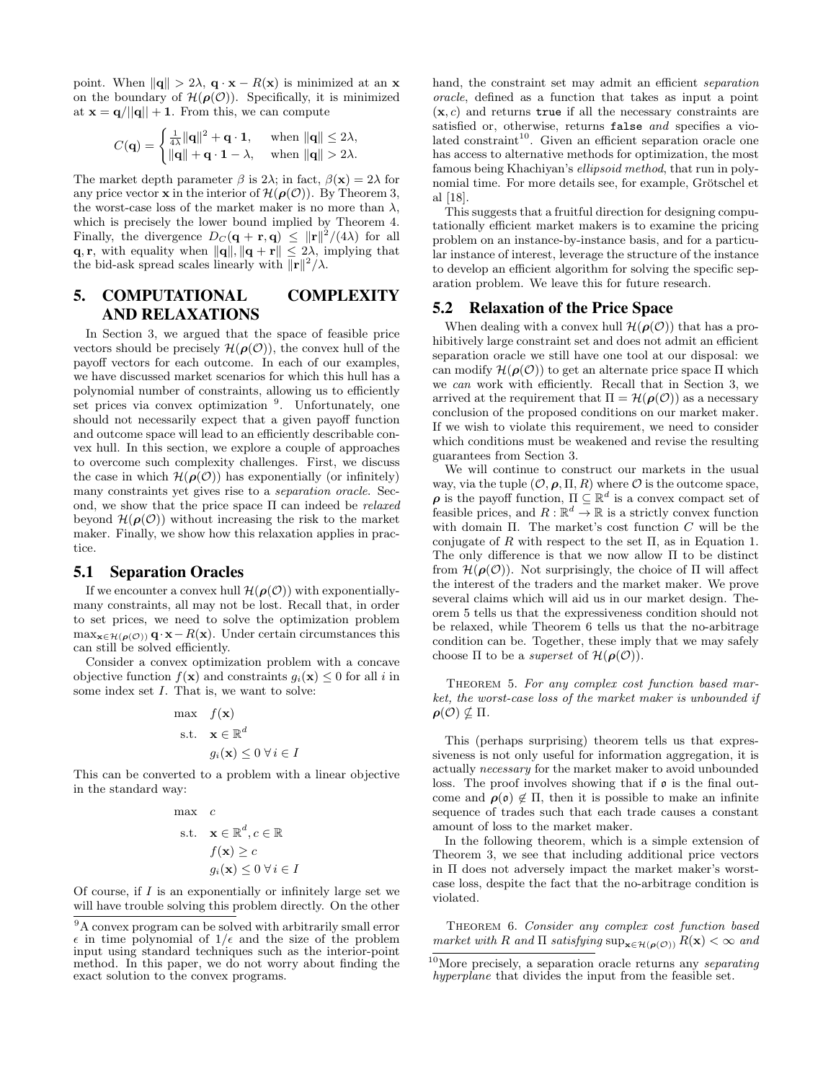point. When  $\|\mathbf{q}\| > 2\lambda$ ,  $\mathbf{q} \cdot \mathbf{x} - R(\mathbf{x})$  is minimized at an x on the boundary of  $\mathcal{H}(\rho(\mathcal{O}))$ . Specifically, it is minimized at  $\mathbf{x} = \mathbf{q}/||\mathbf{q}|| + 1$ . From this, we can compute

$$
C(\mathbf{q}) = \begin{cases} \frac{1}{4\lambda} \|\mathbf{q}\|^2 + \mathbf{q} \cdot \mathbf{1}, & \text{when } \|\mathbf{q}\| \le 2\lambda, \\ \|\mathbf{q}\| + \mathbf{q} \cdot \mathbf{1} - \lambda, & \text{when } \|\mathbf{q}\| > 2\lambda. \end{cases}
$$

The market depth parameter  $\beta$  is 2λ; in fact,  $\beta(\mathbf{x}) = 2\lambda$  for any price vector **x** in the interior of  $\mathcal{H}(\boldsymbol{\rho}(\mathcal{O}))$ . By Theorem 3, the worst-case loss of the market maker is no more than  $\lambda$ , which is precisely the lower bound implied by Theorem 4. Finally, the divergence  $D_C(\mathbf{q} + \mathbf{r}, \mathbf{q}) \leq ||\mathbf{r}||^2/(4\lambda)$  for all **q**, **r**, with equality when  $\|\mathbf{q}\|$ ,  $\|\mathbf{q} + \mathbf{r}\| \leq 2\lambda$ , implying that the bid-ask spread scales linearly with  $\|\mathbf{r}\|^2/\lambda$ .

# 5. COMPUTATIONAL COMPLEXITY AND RELAXATIONS

In Section 3, we argued that the space of feasible price vectors should be precisely  $\mathcal{H}(\rho(\mathcal{O}))$ , the convex hull of the payoff vectors for each outcome. In each of our examples, we have discussed market scenarios for which this hull has a polynomial number of constraints, allowing us to efficiently set prices via convex optimization <sup>9</sup>. Unfortunately, one should not necessarily expect that a given payoff function and outcome space will lead to an efficiently describable convex hull. In this section, we explore a couple of approaches to overcome such complexity challenges. First, we discuss the case in which  $\mathcal{H}(\rho(\mathcal{O}))$  has exponentially (or infinitely) many constraints yet gives rise to a separation oracle. Second, we show that the price space  $\Pi$  can indeed be *relaxed* beyond  $\mathcal{H}(\rho(\mathcal{O}))$  without increasing the risk to the market maker. Finally, we show how this relaxation applies in practice.

#### 5.1 Separation Oracles

If we encounter a convex hull  $\mathcal{H}(\rho(\mathcal{O}))$  with exponentiallymany constraints, all may not be lost. Recall that, in order to set prices, we need to solve the optimization problem  $\max_{\mathbf{x} \in \mathcal{H}(\boldsymbol{\rho}(\mathcal{O}))} \mathbf{q} \cdot \mathbf{x} - R(\mathbf{x})$ . Under certain circumstances this can still be solved efficiently.

Consider a convex optimization problem with a concave objective function  $f(\mathbf{x})$  and constraints  $g_i(\mathbf{x}) \leq 0$  for all i in some index set I. That is, we want to solve:

$$
\begin{aligned}\n\max \quad & f(\mathbf{x}) \\
\text{s.t.} \quad & \mathbf{x} \in \mathbb{R}^d \\
& g_i(\mathbf{x}) \le 0 \,\forall \, i \in I\n\end{aligned}
$$

This can be converted to a problem with a linear objective in the standard way:

$$
\begin{aligned}\n\max \quad & c \\
\text{s.t.} \quad & \mathbf{x} \in \mathbb{R}^d, c \in \mathbb{R} \\
& f(\mathbf{x}) \ge c \\
& g_i(\mathbf{x}) \le 0 \,\forall i \in I\n\end{aligned}
$$

Of course, if  $I$  is an exponentially or infinitely large set we will have trouble solving this problem directly. On the other hand, the constraint set may admit an efficient *separation* oracle, defined as a function that takes as input a point  $(x, c)$  and returns true if all the necessary constraints are satisfied or, otherwise, returns false and specifies a violated constraint<sup>10</sup>. Given an efficient separation oracle one has access to alternative methods for optimization, the most famous being Khachiyan's ellipsoid method, that run in polynomial time. For more details see, for example, Grötschel et al [18].

This suggests that a fruitful direction for designing computationally efficient market makers is to examine the pricing problem on an instance-by-instance basis, and for a particular instance of interest, leverage the structure of the instance to develop an efficient algorithm for solving the specific separation problem. We leave this for future research.

#### 5.2 Relaxation of the Price Space

When dealing with a convex hull  $\mathcal{H}(\rho(\mathcal{O}))$  that has a prohibitively large constraint set and does not admit an efficient separation oracle we still have one tool at our disposal: we can modify  $\mathcal{H}(\rho(\mathcal{O}))$  to get an alternate price space  $\Pi$  which we can work with efficiently. Recall that in Section 3, we arrived at the requirement that  $\Pi = \mathcal{H}(\rho(\mathcal{O}))$  as a necessary conclusion of the proposed conditions on our market maker. If we wish to violate this requirement, we need to consider which conditions must be weakened and revise the resulting guarantees from Section 3.

We will continue to construct our markets in the usual way, via the tuple  $(0, \rho, \Pi, R)$  where O is the outcome space,  $\rho$  is the payoff function,  $\Pi \subseteq \mathbb{R}^d$  is a convex compact set of feasible prices, and  $R : \mathbb{R}^d \to \mathbb{R}$  is a strictly convex function with domain  $\Pi$ . The market's cost function  $C$  will be the conjugate of R with respect to the set  $\Pi$ , as in Equation 1. The only difference is that we now allow Π to be distinct from  $\mathcal{H}(\rho(\mathcal{O}))$ . Not surprisingly, the choice of  $\Pi$  will affect the interest of the traders and the market maker. We prove several claims which will aid us in our market design. Theorem 5 tells us that the expressiveness condition should not be relaxed, while Theorem 6 tells us that the no-arbitrage condition can be. Together, these imply that we may safely choose  $\Pi$  to be a *superset* of  $\mathcal{H}(\rho(\mathcal{O}))$ .

THEOREM 5. For any complex cost function based market, the worst-case loss of the market maker is unbounded if  $\rho(\mathcal{O}) \nsubseteq \Pi$ .

This (perhaps surprising) theorem tells us that expressiveness is not only useful for information aggregation, it is actually necessary for the market maker to avoid unbounded loss. The proof involves showing that if  $\rho$  is the final outcome and  $\rho(\mathfrak{o}) \notin \Pi$ , then it is possible to make an infinite sequence of trades such that each trade causes a constant amount of loss to the market maker.

In the following theorem, which is a simple extension of Theorem 3, we see that including additional price vectors in Π does not adversely impact the market maker's worstcase loss, despite the fact that the no-arbitrage condition is violated.

THEOREM 6. Consider any complex cost function based market with R and  $\Pi$  satisfying  $\sup_{\mathbf{x} \in \mathcal{H}(\rho(\mathcal{O}))} R(\mathbf{x}) < \infty$  and

<sup>9</sup>A convex program can be solved with arbitrarily small error  $\epsilon$  in time polynomial of  $1/\epsilon$  and the size of the problem input using standard techniques such as the interior-point method. In this paper, we do not worry about finding the exact solution to the convex programs.

 $10$ More precisely, a separation oracle returns any separating hyperplane that divides the input from the feasible set.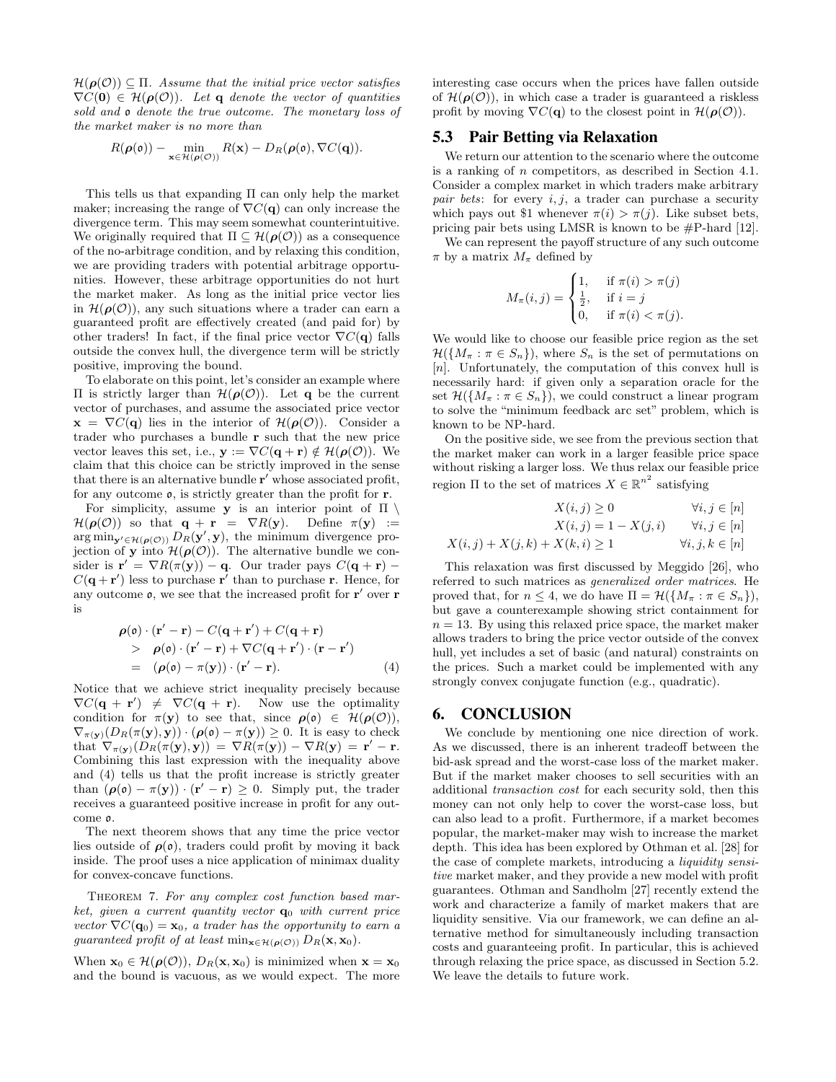$\mathcal{H}(\rho(\mathcal{O})) \subseteq \Pi$ . Assume that the initial price vector satisfies  $\nabla C(\mathbf{0}) \in \mathcal{H}(\boldsymbol{\rho}(\mathcal{O}))$ . Let q denote the vector of quantities sold and o denote the true outcome. The monetary loss of the market maker is no more than

$$
R(\boldsymbol{\rho}(\mathfrak{o})) - \min_{\mathbf{x} \in \mathcal{H}(\boldsymbol{\rho}(\mathcal{O}))} R(\mathbf{x}) - D_R(\boldsymbol{\rho}(\mathfrak{o}), \nabla C(\mathbf{q})).
$$

This tells us that expanding Π can only help the market maker; increasing the range of  $\nabla C(\mathbf{q})$  can only increase the divergence term. This may seem somewhat counterintuitive. We originally required that  $\Pi \subseteq \mathcal{H}(\rho(\mathcal{O}))$  as a consequence of the no-arbitrage condition, and by relaxing this condition, we are providing traders with potential arbitrage opportunities. However, these arbitrage opportunities do not hurt the market maker. As long as the initial price vector lies in  $\mathcal{H}(\rho(\mathcal{O}))$ , any such situations where a trader can earn a guaranteed profit are effectively created (and paid for) by other traders! In fact, if the final price vector  $\nabla C(\mathbf{q})$  falls outside the convex hull, the divergence term will be strictly positive, improving the bound.

To elaborate on this point, let's consider an example where Π is strictly larger than  $H(\rho(\mathcal{O}))$ . Let **q** be the current vector of purchases, and assume the associated price vector  $\mathbf{x} = \nabla C(\mathbf{q})$  lies in the interior of  $\mathcal{H}(\boldsymbol{\rho}(\mathcal{O}))$ . Consider a trader who purchases a bundle r such that the new price vector leaves this set, i.e.,  $y := \nabla C(\mathbf{q} + \mathbf{r}) \notin \mathcal{H}(\rho(\mathcal{O}))$ . We claim that this choice can be strictly improved in the sense that there is an alternative bundle  ${\bf r}'$  whose associated profit, for any outcome o, is strictly greater than the profit for r.

For simplicity, assume y is an interior point of  $\Pi \setminus$  $\mathcal{H}(\boldsymbol{\rho}(\mathcal{O}))$  so that  $\mathbf{q} + \mathbf{r} = \nabla R(\mathbf{y})$ . Define  $\pi(\mathbf{y}) :=$  $\arg \min_{\mathbf{y}' \in \mathcal{H}(\rho(\mathcal{O}))} D_R(\mathbf{y}', \mathbf{y}),$  the minimum divergence projection of y into  $\mathcal{H}(\rho(\mathcal{O}))$ . The alternative bundle we consider is  $\mathbf{r}' = \nabla R(\pi(\mathbf{y})) - \mathbf{q}$ . Our trader pays  $C(\mathbf{q} + \mathbf{r})$  $C(\mathbf{q} + \mathbf{r}')$  less to purchase  $\mathbf{r}'$  than to purchase r. Hence, for any outcome  $\rho$ , we see that the increased profit for  $r'$  over r is

$$
\rho(\mathbf{0}) \cdot (\mathbf{r}' - \mathbf{r}) - C(\mathbf{q} + \mathbf{r}') + C(\mathbf{q} + \mathbf{r})
$$
  
> 
$$
\rho(\mathbf{0}) \cdot (\mathbf{r}' - \mathbf{r}) + \nabla C(\mathbf{q} + \mathbf{r}') \cdot (\mathbf{r} - \mathbf{r}')
$$
  
= 
$$
(\rho(\mathbf{0}) - \pi(\mathbf{y})) \cdot (\mathbf{r}' - \mathbf{r}).
$$
 (4)

Notice that we achieve strict inequality precisely because  $\nabla C(\mathbf{q} + \mathbf{r}') \neq \nabla C(\mathbf{q} + \mathbf{r})$ . Now use the optimality condition for  $\pi(\mathbf{v})$  to see that, since  $\rho(\mathfrak{o}) \in \mathcal{H}(\rho(\mathcal{O}))$ ,  $\nabla_{\pi(\mathbf{y})}(D_R(\pi(\mathbf{y}), \mathbf{y})) \cdot (\boldsymbol{\rho}(\mathbf{0}) - \pi(\mathbf{y})) \geq 0$ . It is easy to check that  $\nabla_{\pi(\mathbf{y})}(D_R(\pi(\mathbf{y}), \mathbf{y})) = \nabla R(\pi(\mathbf{y})) - \nabla R(\mathbf{y}) = \mathbf{r}' - \mathbf{r}.$ Combining this last expression with the inequality above and (4) tells us that the profit increase is strictly greater than  $(\rho(\mathfrak{o}) - \pi(\mathbf{y})) \cdot (\mathbf{r}' - \mathbf{r}) \geq 0$ . Simply put, the trader receives a guaranteed positive increase in profit for any outcome o.

The next theorem shows that any time the price vector lies outside of  $\rho(\rho)$ , traders could profit by moving it back inside. The proof uses a nice application of minimax duality for convex-concave functions.

THEOREM 7. For any complex cost function based market, given a current quantity vector  $\mathbf{q}_0$  with current price vector  $\nabla C(\mathbf{q}_0) = \mathbf{x}_0$ , a trader has the opportunity to earn a guaranteed profit of at least  $\min_{\mathbf{x} \in \mathcal{H}(\boldsymbol{\rho}(\mathcal{O}))} D_R(\mathbf{x}, \mathbf{x}_0)$ .

When  $\mathbf{x}_0 \in \mathcal{H}(\boldsymbol{\rho}(\mathcal{O}))$ ,  $D_R(\mathbf{x}, \mathbf{x}_0)$  is minimized when  $\mathbf{x} = \mathbf{x}_0$ and the bound is vacuous, as we would expect. The more interesting case occurs when the prices have fallen outside of  $\mathcal{H}(\rho(\mathcal{O}))$ , in which case a trader is guaranteed a riskless profit by moving  $\nabla C(\mathbf{q})$  to the closest point in  $\mathcal{H}(\boldsymbol{\rho}(\mathcal{O}))$ .

# 5.3 Pair Betting via Relaxation

We return our attention to the scenario where the outcome is a ranking of n competitors, as described in Section 4.1. Consider a complex market in which traders make arbitrary pair bets: for every  $i, j$ , a trader can purchase a security which pays out \$1 whenever  $\pi(i) > \pi(j)$ . Like subset bets, pricing pair bets using LMSR is known to be #P-hard [12].

We can represent the payoff structure of any such outcome  $\pi$  by a matrix  $M_{\pi}$  defined by

$$
M_{\pi}(i,j) = \begin{cases} 1, & \text{if } \pi(i) > \pi(j) \\ \frac{1}{2}, & \text{if } i = j \\ 0, & \text{if } \pi(i) < \pi(j). \end{cases}
$$

We would like to choose our feasible price region as the set  $\mathcal{H}(\{M_\pi : \pi \in S_n\})$ , where  $S_n$  is the set of permutations on  $[n]$ . Unfortunately, the computation of this convex hull is necessarily hard: if given only a separation oracle for the set  $\mathcal{H}(\{M_\pi : \pi \in S_n\})$ , we could construct a linear program to solve the "minimum feedback arc set" problem, which is known to be NP-hard.

On the positive side, we see from the previous section that the market maker can work in a larger feasible price space without risking a larger loss. We thus relax our feasible price region  $\Pi$  to the set of matrices  $X \in \mathbb{R}^{n^2}$  satisfying

$$
X(i,j) \ge 0 \qquad \forall i, j \in [n]
$$
  

$$
X(i,j) = 1 - X(j,i) \qquad \forall i, j \in [n]
$$
  

$$
X(i,j) + X(j,k) + X(k,i) \ge 1 \qquad \forall i, j, k \in [n]
$$

This relaxation was first discussed by Meggido [26], who referred to such matrices as generalized order matrices. He proved that, for  $n \leq 4$ , we do have  $\Pi = \mathcal{H}(\{M_\pi : \pi \in S_n\}),$ but gave a counterexample showing strict containment for  $n = 13$ . By using this relaxed price space, the market maker allows traders to bring the price vector outside of the convex hull, yet includes a set of basic (and natural) constraints on the prices. Such a market could be implemented with any strongly convex conjugate function (e.g., quadratic).

# 6. CONCLUSION

We conclude by mentioning one nice direction of work. As we discussed, there is an inherent tradeoff between the bid-ask spread and the worst-case loss of the market maker. But if the market maker chooses to sell securities with an additional transaction cost for each security sold, then this money can not only help to cover the worst-case loss, but can also lead to a profit. Furthermore, if a market becomes popular, the market-maker may wish to increase the market depth. This idea has been explored by Othman et al. [28] for the case of complete markets, introducing a liquidity sensitive market maker, and they provide a new model with profit guarantees. Othman and Sandholm [27] recently extend the work and characterize a family of market makers that are liquidity sensitive. Via our framework, we can define an alternative method for simultaneously including transaction costs and guaranteeing profit. In particular, this is achieved through relaxing the price space, as discussed in Section 5.2. We leave the details to future work.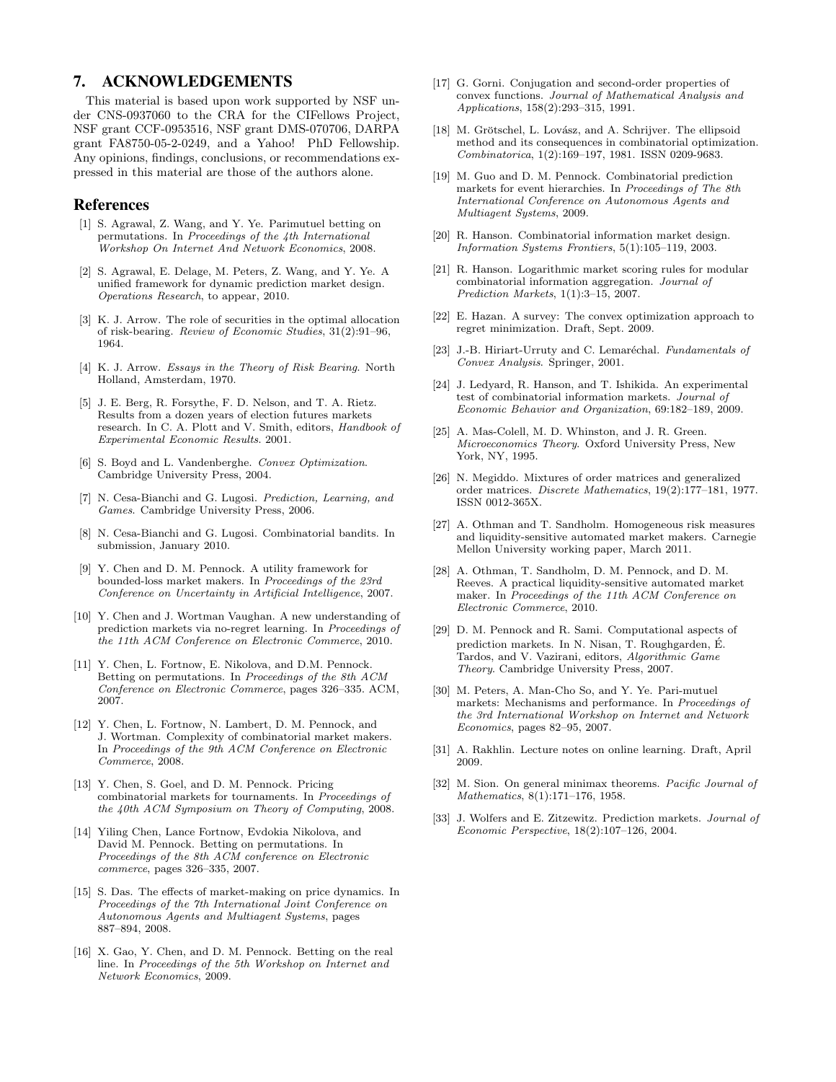# 7. ACKNOWLEDGEMENTS

This material is based upon work supported by NSF under CNS-0937060 to the CRA for the CIFellows Project, NSF grant CCF-0953516, NSF grant DMS-070706, DARPA grant FA8750-05-2-0249, and a Yahoo! PhD Fellowship. Any opinions, findings, conclusions, or recommendations expressed in this material are those of the authors alone.

#### References

- [1] S. Agrawal, Z. Wang, and Y. Ye. Parimutuel betting on permutations. In Proceedings of the 4th International Workshop On Internet And Network Economics, 2008.
- [2] S. Agrawal, E. Delage, M. Peters, Z. Wang, and Y. Ye. A unified framework for dynamic prediction market design. Operations Research, to appear, 2010.
- [3] K. J. Arrow. The role of securities in the optimal allocation of risk-bearing. Review of Economic Studies, 31(2):91–96, 1964.
- [4] K. J. Arrow. Essays in the Theory of Risk Bearing. North Holland, Amsterdam, 1970.
- [5] J. E. Berg, R. Forsythe, F. D. Nelson, and T. A. Rietz. Results from a dozen years of election futures markets research. In C. A. Plott and V. Smith, editors, Handbook of Experimental Economic Results. 2001.
- [6] S. Boyd and L. Vandenberghe. Convex Optimization. Cambridge University Press, 2004.
- [7] N. Cesa-Bianchi and G. Lugosi. Prediction, Learning, and Games. Cambridge University Press, 2006.
- [8] N. Cesa-Bianchi and G. Lugosi. Combinatorial bandits. In submission, January 2010.
- [9] Y. Chen and D. M. Pennock. A utility framework for bounded-loss market makers. In Proceedings of the 23rd Conference on Uncertainty in Artificial Intelligence, 2007.
- [10] Y. Chen and J. Wortman Vaughan. A new understanding of prediction markets via no-regret learning. In Proceedings of the 11th ACM Conference on Electronic Commerce, 2010.
- [11] Y. Chen, L. Fortnow, E. Nikolova, and D.M. Pennock. Betting on permutations. In Proceedings of the 8th ACM Conference on Electronic Commerce, pages 326–335. ACM, 2007.
- [12] Y. Chen, L. Fortnow, N. Lambert, D. M. Pennock, and J. Wortman. Complexity of combinatorial market makers. In Proceedings of the 9th ACM Conference on Electronic Commerce, 2008.
- [13] Y. Chen, S. Goel, and D. M. Pennock. Pricing combinatorial markets for tournaments. In Proceedings of the 40th ACM Symposium on Theory of Computing, 2008.
- [14] Yiling Chen, Lance Fortnow, Evdokia Nikolova, and David M. Pennock. Betting on permutations. In Proceedings of the 8th ACM conference on Electronic commerce, pages 326–335, 2007.
- [15] S. Das. The effects of market-making on price dynamics. In Proceedings of the 7th International Joint Conference on Autonomous Agents and Multiagent Systems, pages 887–894, 2008.
- [16] X. Gao, Y. Chen, and D. M. Pennock. Betting on the real line. In Proceedings of the 5th Workshop on Internet and Network Economics, 2009.
- [17] G. Gorni. Conjugation and second-order properties of convex functions. Journal of Mathematical Analysis and Applications, 158(2):293–315, 1991.
- [18] M. Grötschel, L. Lovász, and A. Schrijver. The ellipsoid method and its consequences in combinatorial optimization. Combinatorica, 1(2):169–197, 1981. ISSN 0209-9683.
- [19] M. Guo and D. M. Pennock. Combinatorial prediction markets for event hierarchies. In Proceedings of The 8th International Conference on Autonomous Agents and Multiagent Systems, 2009.
- [20] R. Hanson. Combinatorial information market design. Information Systems Frontiers, 5(1):105–119, 2003.
- [21] R. Hanson. Logarithmic market scoring rules for modular combinatorial information aggregation. Journal of Prediction Markets, 1(1):3–15, 2007.
- [22] E. Hazan. A survey: The convex optimization approach to regret minimization. Draft, Sept. 2009.
- [23] J.-B. Hiriart-Urruty and C. Lemaréchal. Fundamentals of Convex Analysis. Springer, 2001.
- [24] J. Ledyard, R. Hanson, and T. Ishikida. An experimental test of combinatorial information markets. Journal of Economic Behavior and Organization, 69:182–189, 2009.
- [25] A. Mas-Colell, M. D. Whinston, and J. R. Green. Microeconomics Theory. Oxford University Press, New York, NY, 1995.
- [26] N. Megiddo. Mixtures of order matrices and generalized order matrices. Discrete Mathematics, 19(2):177–181, 1977. ISSN 0012-365X.
- [27] A. Othman and T. Sandholm. Homogeneous risk measures and liquidity-sensitive automated market makers. Carnegie Mellon University working paper, March 2011.
- [28] A. Othman, T. Sandholm, D. M. Pennock, and D. M. Reeves. A practical liquidity-sensitive automated market maker. In Proceedings of the 11th ACM Conference on Electronic Commerce, 2010.
- [29] D. M. Pennock and R. Sami. Computational aspects of prediction markets. In N. Nisan, T. Roughgarden, E. ´ Tardos, and V. Vazirani, editors, Algorithmic Game Theory. Cambridge University Press, 2007.
- [30] M. Peters, A. Man-Cho So, and Y. Ye. Pari-mutuel markets: Mechanisms and performance. In Proceedings of the 3rd International Workshop on Internet and Network Economics, pages 82–95, 2007.
- [31] A. Rakhlin. Lecture notes on online learning. Draft, April 2009.
- [32] M. Sion. On general minimax theorems. Pacific Journal of Mathematics, 8(1):171–176, 1958.
- J. Wolfers and E. Zitzewitz. Prediction markets. Journal of Economic Perspective, 18(2):107–126, 2004.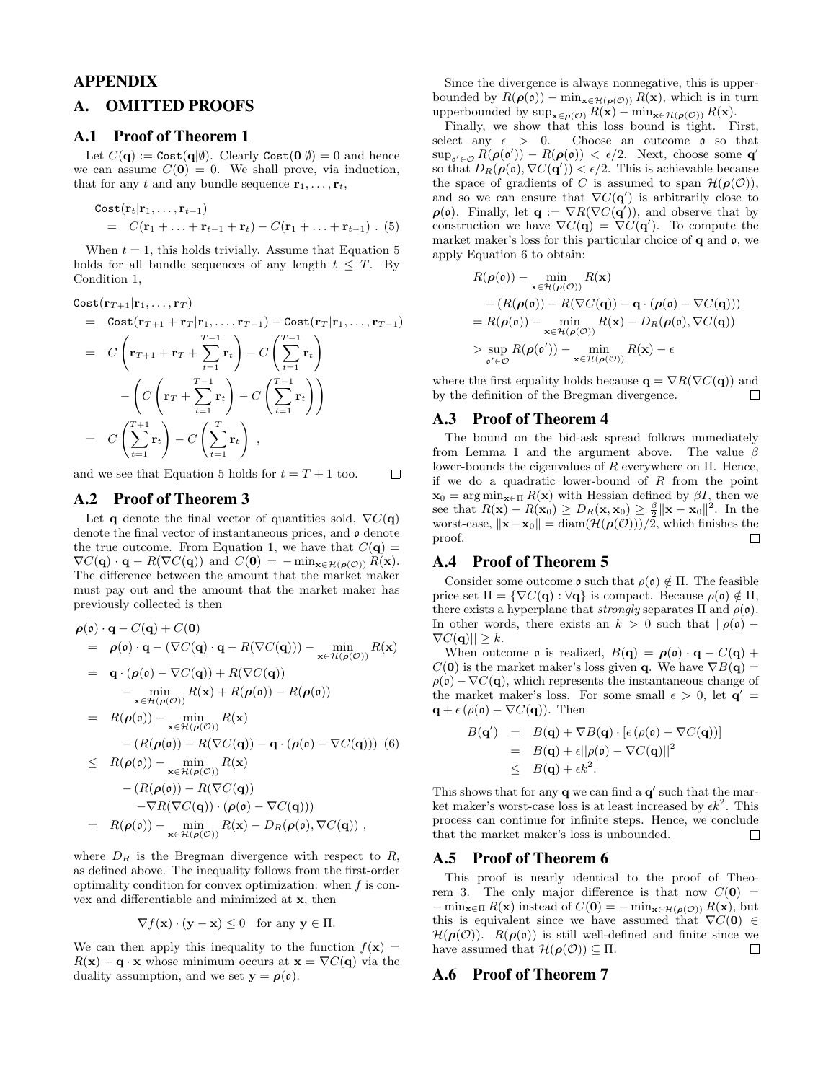# APPENDIX

## A. OMITTED PROOFS

#### A.1 Proof of Theorem 1

Let  $C(\mathbf{q}) := \text{Cost}(\mathbf{q}|\emptyset)$ . Clearly  $\text{Cost}(\mathbf{0}|\emptyset) = 0$  and hence we can assume  $C(\mathbf{0}) = 0$ . We shall prove, via induction, that for any t and any bundle sequence  $\mathbf{r}_1, \ldots, \mathbf{r}_t$ ,

$$
\begin{array}{lcl}\n\text{Cost}(\mathbf{r}_t|\mathbf{r}_1,\ldots,\mathbf{r}_{t-1}) \\
&=& C(\mathbf{r}_1+\ldots+\mathbf{r}_{t-1}+\mathbf{r}_t) - C(\mathbf{r}_1+\ldots+\mathbf{r}_{t-1})\ .\n\end{array} (5)
$$

When  $t = 1$ , this holds trivially. Assume that Equation 5 holds for all bundle sequences of any length  $t \leq T$ . By Condition 1,

$$
\begin{aligned}\n\text{Cost}(\mathbf{r}_{T+1}|\mathbf{r}_1,\ldots,\mathbf{r}_T) \\
&= \text{Cost}(\mathbf{r}_{T+1} + \mathbf{r}_T|\mathbf{r}_1,\ldots,\mathbf{r}_{T-1}) - \text{Cost}(\mathbf{r}_T|\mathbf{r}_1,\ldots,\mathbf{r}_{T-1}) \\
&= C\left(\mathbf{r}_{T+1} + \mathbf{r}_T + \sum_{t=1}^{T-1} \mathbf{r}_t\right) - C\left(\sum_{t=1}^{T-1} \mathbf{r}_t\right) \\
&\quad - \left(C\left(\mathbf{r}_T + \sum_{t=1}^{T-1} \mathbf{r}_t\right) - C\left(\sum_{t=1}^{T-1} \mathbf{r}_t\right)\right) \\
&= C\left(\sum_{t=1}^{T+1} \mathbf{r}_t\right) - C\left(\sum_{t=1}^{T} \mathbf{r}_t\right),\n\end{aligned}
$$

and we see that Equation 5 holds for  $t = T + 1$  too.  $\Box$ 

#### A.2 Proof of Theorem 3

Let q denote the final vector of quantities sold,  $\nabla C(\mathbf{q})$ denote the final vector of instantaneous prices, and  $\rho$  denote the true outcome. From Equation 1, we have that  $C(\mathbf{q}) =$  $\nabla C(\mathbf{q}) \cdot \mathbf{q} - R(\nabla C(\mathbf{q}))$  and  $C(\mathbf{0}) = -\min_{\mathbf{x} \in \mathcal{H}(\boldsymbol{\rho}(\mathcal{O}))} R(\mathbf{x}).$ The difference between the amount that the market maker must pay out and the amount that the market maker has previously collected is then

$$
\rho(\mathfrak{o}) \cdot \mathbf{q} - C(\mathbf{q}) + C(\mathbf{0})
$$
\n
$$
= \rho(\mathfrak{o}) \cdot \mathbf{q} - (\nabla C(\mathbf{q}) \cdot \mathbf{q} - R(\nabla C(\mathbf{q}))) - \min_{\mathbf{x} \in \mathcal{H}(\rho(C))} R(\mathbf{x})
$$
\n
$$
= \mathbf{q} \cdot (\rho(\mathfrak{o}) - \nabla C(\mathbf{q}) + R(\nabla C(\mathbf{q}))
$$
\n
$$
- \min_{\mathbf{x} \in \mathcal{H}(\rho(C))} R(\mathbf{x}) + R(\rho(\mathfrak{o})) - R(\rho(\mathfrak{o}))
$$
\n
$$
= R(\rho(\mathfrak{o})) - \min_{\mathbf{x} \in \mathcal{H}(\rho(C))} R(\mathbf{x})
$$
\n
$$
- (R(\rho(\mathfrak{o})) - R(\nabla C(\mathbf{q})) - \mathbf{q} \cdot (\rho(\mathfrak{o}) - \nabla C(\mathbf{q}))) \quad (6)
$$
\n
$$
\leq R(\rho(\mathfrak{o})) - \min_{\mathbf{x} \in \mathcal{H}(\rho(C))} R(\mathbf{x})
$$
\n
$$
- (R(\rho(\mathfrak{o})) - R(\nabla C(\mathbf{q})) - \nabla C(\mathbf{q}))
$$
\n
$$
- \nabla R(\nabla C(\mathbf{q})) \cdot (\rho(\mathfrak{o}) - \nabla C(\mathbf{q})))
$$
\n
$$
= R(\rho(\mathfrak{o})) - \min_{\mathbf{x} \in \mathcal{H}(\rho(C))} R(\mathbf{x}) - D_R(\rho(\mathfrak{o}), \nabla C(\mathbf{q})) ,
$$

where  $D_R$  is the Bregman divergence with respect to R, as defined above. The inequality follows from the first-order optimality condition for convex optimization: when  $f$  is convex and differentiable and minimized at x, then

$$
\nabla f(\mathbf{x}) \cdot (\mathbf{y} - \mathbf{x}) \le 0 \quad \text{for any } \mathbf{y} \in \Pi.
$$

We can then apply this inequality to the function  $f(\mathbf{x}) =$  $R(\mathbf{x}) - \mathbf{q} \cdot \mathbf{x}$  whose minimum occurs at  $\mathbf{x} = \nabla C(\mathbf{q})$  via the duality assumption, and we set  $y = \rho(\rho)$ .

Since the divergence is always nonnegative, this is upperbounded by  $R(\boldsymbol{\rho}(\mathfrak{o})) - \min_{\mathbf{x} \in \mathcal{H}(\boldsymbol{\rho}(\mathcal{O}))} R(\mathbf{x})$ , which is in turn upperbounded by  $\sup_{\mathbf{x}\in\rho(\mathcal{O})} R(\mathbf{x}) - \min_{\mathbf{x}\in\mathcal{H}(\rho(\mathcal{O}))} R(\mathbf{x}).$ 

Finally, we show that this loss bound is tight. First, select any  $\epsilon$  > 0. Choose an outcome  $\mathfrak{o}$  so that  $\sup_{\mathfrak{o}' \in \mathcal{O}} R(\boldsymbol{\rho}(\mathfrak{o}')) - R(\boldsymbol{\rho}(\mathfrak{o})) < \epsilon/2$ . Next, choose some **q'** so that  $D_R(\rho(\rho), \nabla C(\mathbf{q}')) < \epsilon/2$ . This is achievable because the space of gradients of C is assumed to span  $\mathcal{H}(\rho(\mathcal{O}))$ , and so we can ensure that  $\nabla C(\mathbf{q}')$  is arbitrarily close to  $\rho(\mathfrak{o})$ . Finally, let  $\mathbf{q} := \nabla R(\nabla C(\mathbf{q}'))$ , and observe that by construction we have  $\nabla C(\mathbf{q}) = \nabla C(\mathbf{q}')$ . To compute the market maker's loss for this particular choice of  $q$  and  $q$ , we apply Equation 6 to obtain:

$$
R(\boldsymbol{\rho}(\mathfrak{o})) - \min_{\mathbf{x} \in \mathcal{H}(\boldsymbol{\rho}(\mathcal{O}))} R(\mathbf{x})
$$
  
-  $(R(\boldsymbol{\rho}(\mathfrak{o})) - R(\nabla C(\mathbf{q})) - \mathbf{q} \cdot (\boldsymbol{\rho}(\mathfrak{o}) - \nabla C(\mathbf{q})))$   
=  $R(\boldsymbol{\rho}(\mathfrak{o})) - \min_{\mathbf{x} \in \mathcal{H}(\boldsymbol{\rho}(\mathcal{O}))} R(\mathbf{x}) - D_R(\boldsymbol{\rho}(\mathfrak{o}), \nabla C(\mathbf{q}))$   
>  $\sup_{\mathfrak{o}' \in \mathcal{O}} R(\boldsymbol{\rho}(\mathfrak{o}')) - \min_{\mathbf{x} \in \mathcal{H}(\boldsymbol{\rho}(\mathcal{O}))} R(\mathbf{x}) - \epsilon$ 

where the first equality holds because  $\mathbf{q} = \nabla R(\nabla C(\mathbf{q}))$  and by the definition of the Bregman divergence. П

# A.3 Proof of Theorem 4

The bound on the bid-ask spread follows immediately from Lemma 1 and the argument above. The value  $\beta$ lower-bounds the eigenvalues of  $R$  everywhere on  $\Pi$ . Hence, if we do a quadratic lower-bound of  $R$  from the point  $\mathbf{x}_0 = \arg \min_{\mathbf{x} \in \Pi} R(\mathbf{x})$  with Hessian defined by  $\beta I$ , then we see that  $R(\mathbf{x}) - R(\mathbf{x}_0) \ge D_R(\mathbf{x}, \mathbf{x}_0) \ge \frac{\beta}{2} ||\mathbf{x} - \mathbf{x}_0||^2$ . In the worst-case,  $\|\mathbf{x}-\mathbf{x}_0\| = \text{diam}(\mathcal{H}(\boldsymbol{\rho}(\mathcal{O})))\big/2$ , which finishes the proof. П

#### A.4 Proof of Theorem 5

Consider some outcome  $\rho$  such that  $\rho(\rho) \notin \Pi$ . The feasible price set  $\Pi = \{\nabla C(\mathbf{q}) : \forall \mathbf{q}\}\$ is compact. Because  $\rho(\mathbf{0}) \notin \Pi$ , there exists a hyperplane that *strongly* separates  $\Pi$  and  $\rho(\mathfrak{o})$ . In other words, there exists an  $k > 0$  such that  $||\rho(\mathfrak{o}) \nabla C(\mathbf{q}) \leq k.$ 

When outcome  $\mathfrak o$  is realized,  $B(q) = \rho(\mathfrak o) \cdot q - C(q) +$  $C(\mathbf{0})$  is the market maker's loss given q. We have  $\nabla B(\mathbf{q}) =$  $\rho(\mathfrak{o}) - \nabla C(\mathfrak{q})$ , which represents the instantaneous change of the market maker's loss. For some small  $\epsilon > 0$ , let  $\mathbf{q}' =$  $\mathbf{q} + \epsilon (\rho(\mathfrak{o}) - \nabla C(\mathbf{q}))$ . Then

$$
B(\mathbf{q}') = B(\mathbf{q}) + \nabla B(\mathbf{q}) \cdot [\epsilon (\rho(\mathfrak{o}) - \nabla C(\mathbf{q}))]
$$
  
=  $B(\mathbf{q}) + \epsilon ||\rho(\mathfrak{o}) - \nabla C(\mathbf{q})||^2$   
 $\leq B(\mathbf{q}) + \epsilon k^2.$ 

This shows that for any  $q$  we can find a  $q'$  such that the market maker's worst-case loss is at least increased by  $\epsilon k^2$ . This process can continue for infinite steps. Hence, we conclude that the market maker's loss is unbounded.  $\Box$ 

## A.5 Proof of Theorem 6

This proof is nearly identical to the proof of Theorem 3. The only major difference is that now  $C(\mathbf{0}) =$  $-\min_{\mathbf{x}\in\Pi} R(\mathbf{x})$  instead of  $C(\mathbf{0}) = -\min_{\mathbf{x}\in\mathcal{H}(\rho(\mathcal{O}))} R(\mathbf{x})$ , but this is equivalent since we have assumed that  $\nabla C(\mathbf{0}) \in$  $\mathcal{H}(\rho(\mathcal{O}))$ .  $R(\rho(\rho))$  is still well-defined and finite since we have assumed that  $\mathcal{H}(\rho(\mathcal{O})) \subset \Pi$ .  $\Box$ 

#### A.6 Proof of Theorem 7